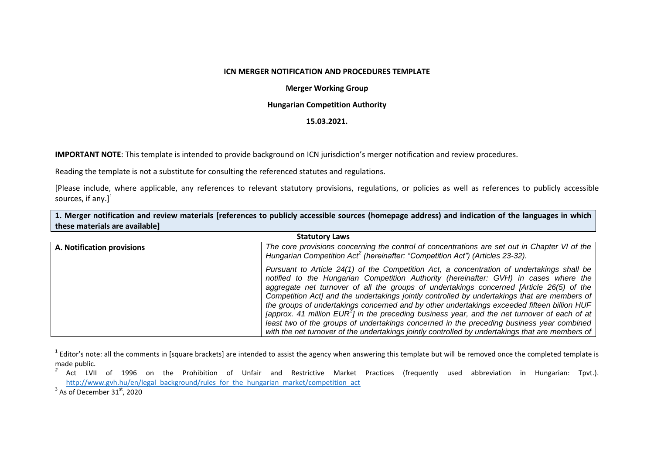## **ICN MERGER NOTIFICATION AND PROCEDURES TEMPLATE**

## **Merger Working Group**

## **Hungarian Competition Authority**

## **15.03.2021.**

**IMPORTANT NOTE**: This template is intended to provide background on ICN jurisdiction's merger notification and review procedures.

Reading the template is not a substitute for consulting the referenced statutes and regulations.

[Please include, where applicable, any references to relevant statutory provisions, regulations, or policies as well as references to publicly accessible sources, if any. $]^{1}$ 

**1. Merger notification and review materials [references to publicly accessible sources (homepage address) and indication of the languages in which these materials are available]**

| <b>Statutory Laws</b>             |                                                                                                                                                                                                                                                                                                                                                                                                                                                                                                                                                                                                                                                                                                                                                                                              |
|-----------------------------------|----------------------------------------------------------------------------------------------------------------------------------------------------------------------------------------------------------------------------------------------------------------------------------------------------------------------------------------------------------------------------------------------------------------------------------------------------------------------------------------------------------------------------------------------------------------------------------------------------------------------------------------------------------------------------------------------------------------------------------------------------------------------------------------------|
| <b>A. Notification provisions</b> | The core provisions concerning the control of concentrations are set out in Chapter VI of the<br>Hungarian Competition Act <sup>2</sup> (hereinafter: "Competition Act") (Articles 23-32).                                                                                                                                                                                                                                                                                                                                                                                                                                                                                                                                                                                                   |
|                                   | Pursuant to Article 24(1) of the Competition Act, a concentration of undertakings shall be<br>notified to the Hungarian Competition Authority (hereinafter: GVH) in cases where the<br>aggregate net turnover of all the groups of undertakings concerned [Article 26(5) of the<br>Competition Act] and the undertakings jointly controlled by undertakings that are members of<br>the groups of undertakings concerned and by other undertakings exceeded fifteen billion HUF<br>[approx. 41 million EUR <sup>3</sup> ] in the preceding business year, and the net turnover of each of at<br>least two of the groups of undertakings concerned in the preceding business year combined<br>with the net turnover of the undertakings jointly controlled by undertakings that are members of |

 $^{1}$  Editor's note: all the comments in [square brackets] are intended to assist the agency when answering this template but will be removed once the completed template is made public.

 $^3$  As of December 31 $^{\rm st}$ , 2020

 $\overline{a}$ 

*<sup>2</sup>* Act LVII of 1996 on the Prohibition of Unfair and Restrictive Market Practices (frequently used abbreviation in Hungarian: Tpvt.). [http://www.gvh.hu/en/legal\\_background/rules\\_for\\_the\\_hungarian\\_market/competition\\_act](http://www.gvh.hu/en/legal_background/rules_for_the_hungarian_market/competition_act)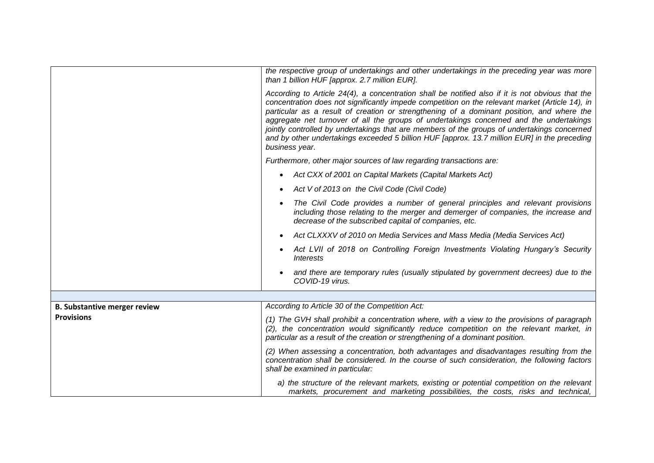|                                     | the respective group of undertakings and other undertakings in the preceding year was more<br>than 1 billion HUF [approx. 2.7 million EUR].                                                                                                                                                                                                                                                                                                                                                                                                                                                                  |  |
|-------------------------------------|--------------------------------------------------------------------------------------------------------------------------------------------------------------------------------------------------------------------------------------------------------------------------------------------------------------------------------------------------------------------------------------------------------------------------------------------------------------------------------------------------------------------------------------------------------------------------------------------------------------|--|
|                                     | According to Article 24(4), a concentration shall be notified also if it is not obvious that the<br>concentration does not significantly impede competition on the relevant market (Article 14), in<br>particular as a result of creation or strengthening of a dominant position, and where the<br>aggregate net turnover of all the groups of undertakings concerned and the undertakings<br>jointly controlled by undertakings that are members of the groups of undertakings concerned<br>and by other undertakings exceeded 5 billion HUF [approx. 13.7 million EUR] in the preceding<br>business year. |  |
|                                     | Furthermore, other major sources of law regarding transactions are:                                                                                                                                                                                                                                                                                                                                                                                                                                                                                                                                          |  |
|                                     | Act CXX of 2001 on Capital Markets (Capital Markets Act)<br>$\bullet$                                                                                                                                                                                                                                                                                                                                                                                                                                                                                                                                        |  |
|                                     | Act V of 2013 on the Civil Code (Civil Code)                                                                                                                                                                                                                                                                                                                                                                                                                                                                                                                                                                 |  |
|                                     | The Civil Code provides a number of general principles and relevant provisions<br>including those relating to the merger and demerger of companies, the increase and<br>decrease of the subscribed capital of companies, etc.                                                                                                                                                                                                                                                                                                                                                                                |  |
|                                     | Act CLXXXV of 2010 on Media Services and Mass Media (Media Services Act)<br>$\bullet$                                                                                                                                                                                                                                                                                                                                                                                                                                                                                                                        |  |
|                                     | Act LVII of 2018 on Controlling Foreign Investments Violating Hungary's Security<br><i><b>Interests</b></i>                                                                                                                                                                                                                                                                                                                                                                                                                                                                                                  |  |
|                                     | and there are temporary rules (usually stipulated by government decrees) due to the<br>COVID-19 virus.                                                                                                                                                                                                                                                                                                                                                                                                                                                                                                       |  |
|                                     |                                                                                                                                                                                                                                                                                                                                                                                                                                                                                                                                                                                                              |  |
| <b>B. Substantive merger review</b> | According to Article 30 of the Competition Act:                                                                                                                                                                                                                                                                                                                                                                                                                                                                                                                                                              |  |
| <b>Provisions</b>                   | (1) The GVH shall prohibit a concentration where, with a view to the provisions of paragraph<br>(2), the concentration would significantly reduce competition on the relevant market, in<br>particular as a result of the creation or strengthening of a dominant position.                                                                                                                                                                                                                                                                                                                                  |  |
|                                     | (2) When assessing a concentration, both advantages and disadvantages resulting from the<br>concentration shall be considered. In the course of such consideration, the following factors<br>shall be examined in particular:                                                                                                                                                                                                                                                                                                                                                                                |  |
|                                     | a) the structure of the relevant markets, existing or potential competition on the relevant<br>markets, procurement and marketing possibilities, the costs, risks and technical,                                                                                                                                                                                                                                                                                                                                                                                                                             |  |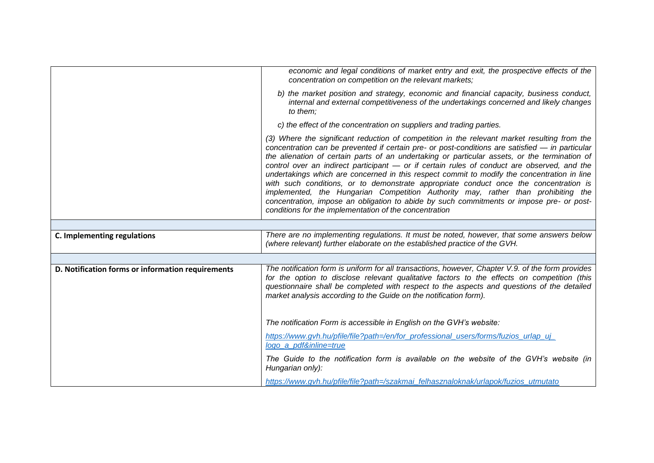|                                                   | economic and legal conditions of market entry and exit, the prospective effects of the<br>concentration on competition on the relevant markets;                                                                                                                                                                                                                                                                                                                                                                                                                                                                                                                                                                                                                                                                                    |
|---------------------------------------------------|------------------------------------------------------------------------------------------------------------------------------------------------------------------------------------------------------------------------------------------------------------------------------------------------------------------------------------------------------------------------------------------------------------------------------------------------------------------------------------------------------------------------------------------------------------------------------------------------------------------------------------------------------------------------------------------------------------------------------------------------------------------------------------------------------------------------------------|
|                                                   | b) the market position and strategy, economic and financial capacity, business conduct,<br>internal and external competitiveness of the undertakings concerned and likely changes<br>to them;                                                                                                                                                                                                                                                                                                                                                                                                                                                                                                                                                                                                                                      |
|                                                   | c) the effect of the concentration on suppliers and trading parties.                                                                                                                                                                                                                                                                                                                                                                                                                                                                                                                                                                                                                                                                                                                                                               |
|                                                   | (3) Where the significant reduction of competition in the relevant market resulting from the<br>concentration can be prevented if certain pre- or post-conditions are satisfied - in particular<br>the alienation of certain parts of an undertaking or particular assets, or the termination of<br>control over an indirect participant - or if certain rules of conduct are observed, and the<br>undertakings which are concerned in this respect commit to modify the concentration in line<br>with such conditions, or to demonstrate appropriate conduct once the concentration is<br>implemented, the Hungarian Competition Authority may, rather than prohibiting the<br>concentration, impose an obligation to abide by such commitments or impose pre- or post-<br>conditions for the implementation of the concentration |
|                                                   |                                                                                                                                                                                                                                                                                                                                                                                                                                                                                                                                                                                                                                                                                                                                                                                                                                    |
| C. Implementing regulations                       | There are no implementing regulations. It must be noted, however, that some answers below<br>(where relevant) further elaborate on the established practice of the GVH.                                                                                                                                                                                                                                                                                                                                                                                                                                                                                                                                                                                                                                                            |
|                                                   |                                                                                                                                                                                                                                                                                                                                                                                                                                                                                                                                                                                                                                                                                                                                                                                                                                    |
| D. Notification forms or information requirements | The notification form is uniform for all transactions, however, Chapter V.9. of the form provides<br>for the option to disclose relevant qualitative factors to the effects on competition (this<br>questionnaire shall be completed with respect to the aspects and questions of the detailed<br>market analysis according to the Guide on the notification form).                                                                                                                                                                                                                                                                                                                                                                                                                                                                |
|                                                   | The notification Form is accessible in English on the GVH's website:                                                                                                                                                                                                                                                                                                                                                                                                                                                                                                                                                                                                                                                                                                                                                               |
|                                                   | https://www.gvh.hu/pfile/file?path=/en/for_professional_users/forms/fuzios_urlap_uj_<br>logo_a_pdf&inline=true                                                                                                                                                                                                                                                                                                                                                                                                                                                                                                                                                                                                                                                                                                                     |
|                                                   | The Guide to the notification form is available on the website of the GVH's website (in<br>Hungarian only):                                                                                                                                                                                                                                                                                                                                                                                                                                                                                                                                                                                                                                                                                                                        |
|                                                   | https://www.gvh.hu/pfile/file?path=/szakmai_felhasznaloknak/urlapok/fuzios_utmutato                                                                                                                                                                                                                                                                                                                                                                                                                                                                                                                                                                                                                                                                                                                                                |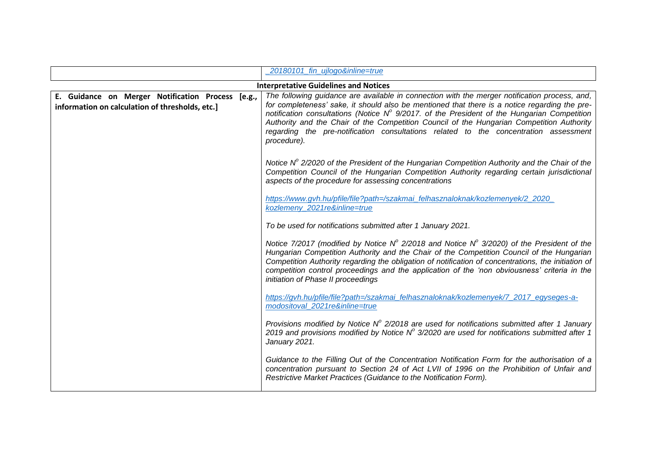|                                                                                                      | 20180101 fin ujlogo&inline=true                                                                                                                                                                                                                                                                                                                                                                                                                                                                            |
|------------------------------------------------------------------------------------------------------|------------------------------------------------------------------------------------------------------------------------------------------------------------------------------------------------------------------------------------------------------------------------------------------------------------------------------------------------------------------------------------------------------------------------------------------------------------------------------------------------------------|
|                                                                                                      | <b>Interpretative Guidelines and Notices</b>                                                                                                                                                                                                                                                                                                                                                                                                                                                               |
| E. Guidance on Merger Notification Process [e.g.,<br>information on calculation of thresholds, etc.] | The following guidance are available in connection with the merger notification process, and,<br>for completeness' sake, it should also be mentioned that there is a notice regarding the pre-<br>notification consultations (Notice $N^{\circ}$ 9/2017. of the President of the Hungarian Competition<br>Authority and the Chair of the Competition Council of the Hungarian Competition Authority<br>regarding the pre-notification consultations related to the concentration assessment<br>procedure). |
|                                                                                                      | Notice $N^{\circ}$ 2/2020 of the President of the Hungarian Competition Authority and the Chair of the<br>Competition Council of the Hungarian Competition Authority regarding certain jurisdictional<br>aspects of the procedure for assessing concentrations                                                                                                                                                                                                                                             |
|                                                                                                      | https://www.gvh.hu/pfile/file?path=/szakmai_felhasznaloknak/kozlemenyek/2_2020_<br>kozlemeny_2021re&inline=true                                                                                                                                                                                                                                                                                                                                                                                            |
|                                                                                                      | To be used for notifications submitted after 1 January 2021.                                                                                                                                                                                                                                                                                                                                                                                                                                               |
|                                                                                                      | Notice 7/2017 (modified by Notice N° 2/2018 and Notice N° 3/2020) of the President of the<br>Hungarian Competition Authority and the Chair of the Competition Council of the Hungarian<br>Competition Authority regarding the obligation of notification of concentrations, the initiation of<br>competition control proceedings and the application of the 'non obviousness' criteria in the<br>initiation of Phase II proceedings                                                                        |
|                                                                                                      | https://gvh.hu/pfile/file?path=/szakmai_felhasznaloknak/kozlemenyek/7_2017_egyseges-a-<br>modositoval_2021re&inline=true                                                                                                                                                                                                                                                                                                                                                                                   |
|                                                                                                      | Provisions modified by Notice $N^{\circ}$ 2/2018 are used for notifications submitted after 1 January<br>2019 and provisions modified by Notice $N^{\circ}$ 3/2020 are used for notifications submitted after 1<br>January 2021.                                                                                                                                                                                                                                                                           |
|                                                                                                      | Guidance to the Filling Out of the Concentration Notification Form for the authorisation of a<br>concentration pursuant to Section 24 of Act LVII of 1996 on the Prohibition of Unfair and<br>Restrictive Market Practices (Guidance to the Notification Form).                                                                                                                                                                                                                                            |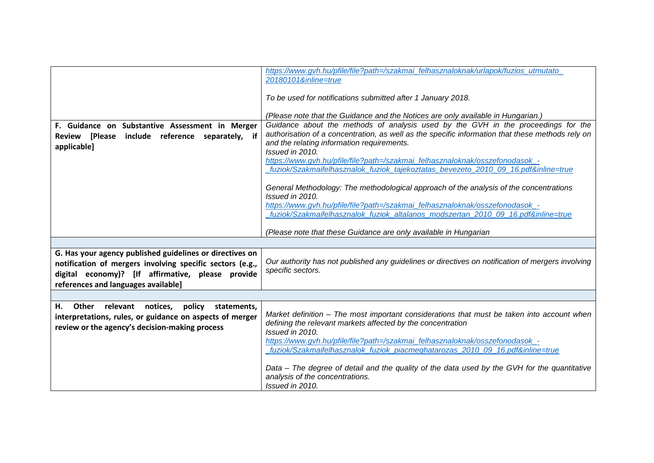| F. Guidance on Substantive Assessment in Merger<br>Review [Please include reference separately, if<br>applicable]                                                                                                 | To be used for notifications submitted after 1 January 2018.<br>(Please note that the Guidance and the Notices are only available in Hungarian.)<br>Guidance about the methods of analysis used by the GVH in the proceedings for the<br>authorisation of a concentration, as well as the specific information that these methods rely on<br>and the relating information requirements.<br>Issued in 2010.<br>https://www.qvh.hu/pfile/file?path=/szakmai felhasznaloknak/osszefonodasok -<br>fuziok/Szakmaifelhasznalok_fuziok_tajekoztatas_bevezeto_2010_09_16.pdf&inline=true<br>General Methodology: The methodological approach of the analysis of the concentrations<br>Issued in 2010.<br>https://www.qvh.hu/pfile/file?path=/szakmai felhasznaloknak/osszefonodasok -<br>fuziok/Szakmaifelhasznalok_fuziok_altalanos_modszertan_2010_09_16.pdf&inline=true |
|-------------------------------------------------------------------------------------------------------------------------------------------------------------------------------------------------------------------|--------------------------------------------------------------------------------------------------------------------------------------------------------------------------------------------------------------------------------------------------------------------------------------------------------------------------------------------------------------------------------------------------------------------------------------------------------------------------------------------------------------------------------------------------------------------------------------------------------------------------------------------------------------------------------------------------------------------------------------------------------------------------------------------------------------------------------------------------------------------|
|                                                                                                                                                                                                                   | (Please note that these Guidance are only available in Hungarian                                                                                                                                                                                                                                                                                                                                                                                                                                                                                                                                                                                                                                                                                                                                                                                                   |
| G. Has your agency published guidelines or directives on<br>notification of mergers involving specific sectors (e.g.,<br>digital economy)? [If affirmative, please provide<br>references and languages available] | Our authority has not published any guidelines or directives on notification of mergers involving<br>specific sectors.                                                                                                                                                                                                                                                                                                                                                                                                                                                                                                                                                                                                                                                                                                                                             |
|                                                                                                                                                                                                                   |                                                                                                                                                                                                                                                                                                                                                                                                                                                                                                                                                                                                                                                                                                                                                                                                                                                                    |
| Н.<br>Other relevant<br>notices, policy<br>statements,<br>interpretations, rules, or guidance on aspects of merger<br>review or the agency's decision-making process                                              | Market definition - The most important considerations that must be taken into account when<br>defining the relevant markets affected by the concentration<br>Issued in 2010.<br>https://www.gvh.hu/pfile/file?path=/szakmai_felhasznaloknak/osszefonodasok_-<br>fuziok/Szakmaifelhasznalok_fuziok_piacmeghatarozas_2010_09_16.pdf&inline=true<br>Data - The degree of detail and the quality of the data used by the GVH for the quantitative<br>analysis of the concentrations.                                                                                                                                                                                                                                                                                                                                                                                   |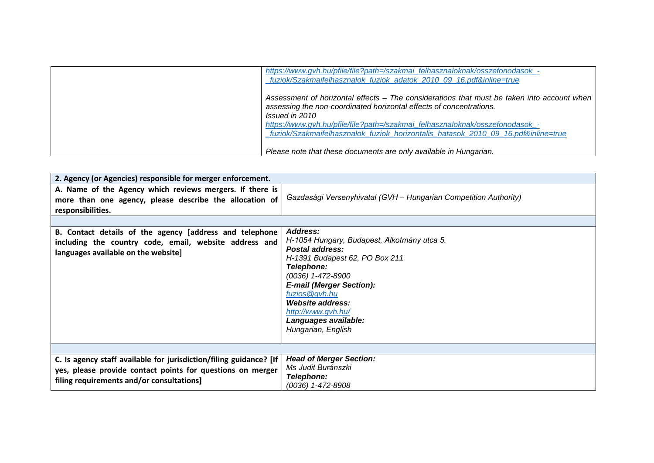| https://www.gvh.hu/pfile/file?path=/szakmai_felhasznaloknak/osszefonodasok_-<br>fuziok/Szakmaifelhasznalok fuziok adatok 2010 09 16.pdf&inline=true                                                                                                                                                                                                      |
|----------------------------------------------------------------------------------------------------------------------------------------------------------------------------------------------------------------------------------------------------------------------------------------------------------------------------------------------------------|
| Assessment of horizontal effects - The considerations that must be taken into account when<br>assessing the non-coordinated horizontal effects of concentrations.<br>Issued in 2010<br>https://www.qvh.hu/pfile/file?path=/szakmai_felhasznaloknak/osszefonodasok_-<br>fuziok/Szakmaifelhasznalok fuziok horizontalis hatasok 2010 09 16.pdf&inline=true |
| Please note that these documents are only available in Hungarian.                                                                                                                                                                                                                                                                                        |

| 2. Agency (or Agencies) responsible for merger enforcement.                                                                                                                   |                                                                                                                                                                                                                                                                                                           |  |
|-------------------------------------------------------------------------------------------------------------------------------------------------------------------------------|-----------------------------------------------------------------------------------------------------------------------------------------------------------------------------------------------------------------------------------------------------------------------------------------------------------|--|
| A. Name of the Agency which reviews mergers. If there is<br>more than one agency, please describe the allocation of<br>responsibilities.                                      | Gazdasági Versenyhivatal (GVH - Hungarian Competition Authority)                                                                                                                                                                                                                                          |  |
|                                                                                                                                                                               |                                                                                                                                                                                                                                                                                                           |  |
| B. Contact details of the agency [address and telephone<br>including the country code, email, website address and<br>languages available on the website]                      | Address:<br>H-1054 Hungary, Budapest, Alkotmány utca 5.<br><b>Postal address:</b><br>H-1391 Budapest 62, PO Box 211<br><b>Telephone:</b><br>(0036) 1-472-8900<br><b>E-mail (Merger Section):</b><br>fuzios@gyh.hu<br>Website address:<br>http://www.gvh.hu/<br>Languages available:<br>Hungarian, English |  |
|                                                                                                                                                                               |                                                                                                                                                                                                                                                                                                           |  |
| C. Is agency staff available for jurisdiction/filing guidance? [If<br>yes, please provide contact points for questions on merger<br>filing requirements and/or consultations] | <b>Head of Merger Section:</b><br>Ms Judit Buránszki<br>Telephone:<br>(0036) 1-472-8908                                                                                                                                                                                                                   |  |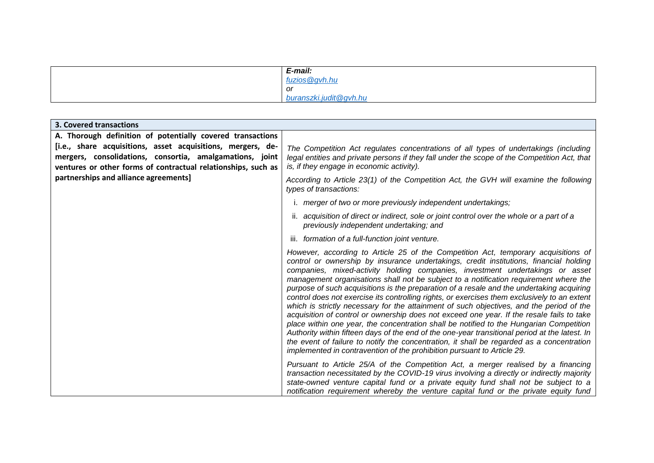| E-mail:                |
|------------------------|
| fuzios@gvh.hu          |
| or                     |
| buranszki.judit@gvh.hu |

| <b>3. Covered transactions</b>                                                                                                                                                           |                                                                                                                                                                                                                                                                                                                                                                                                                                                                                                                                                                                                                                                                                                                                                                                                                                                                                                                                                                                                                                                                                                                   |
|------------------------------------------------------------------------------------------------------------------------------------------------------------------------------------------|-------------------------------------------------------------------------------------------------------------------------------------------------------------------------------------------------------------------------------------------------------------------------------------------------------------------------------------------------------------------------------------------------------------------------------------------------------------------------------------------------------------------------------------------------------------------------------------------------------------------------------------------------------------------------------------------------------------------------------------------------------------------------------------------------------------------------------------------------------------------------------------------------------------------------------------------------------------------------------------------------------------------------------------------------------------------------------------------------------------------|
| A. Thorough definition of potentially covered transactions                                                                                                                               |                                                                                                                                                                                                                                                                                                                                                                                                                                                                                                                                                                                                                                                                                                                                                                                                                                                                                                                                                                                                                                                                                                                   |
| [i.e., share acquisitions, asset acquisitions, mergers, de-<br>mergers, consolidations, consortia, amalgamations, joint<br>ventures or other forms of contractual relationships, such as | The Competition Act regulates concentrations of all types of undertakings (including<br>legal entities and private persons if they fall under the scope of the Competition Act, that<br>is, if they engage in economic activity).                                                                                                                                                                                                                                                                                                                                                                                                                                                                                                                                                                                                                                                                                                                                                                                                                                                                                 |
| partnerships and alliance agreements]                                                                                                                                                    | According to Article 23(1) of the Competition Act, the GVH will examine the following<br>types of transactions:                                                                                                                                                                                                                                                                                                                                                                                                                                                                                                                                                                                                                                                                                                                                                                                                                                                                                                                                                                                                   |
|                                                                                                                                                                                          | i. merger of two or more previously independent undertakings;                                                                                                                                                                                                                                                                                                                                                                                                                                                                                                                                                                                                                                                                                                                                                                                                                                                                                                                                                                                                                                                     |
|                                                                                                                                                                                          | ii. acquisition of direct or indirect, sole or joint control over the whole or a part of a<br>previously independent undertaking; and                                                                                                                                                                                                                                                                                                                                                                                                                                                                                                                                                                                                                                                                                                                                                                                                                                                                                                                                                                             |
|                                                                                                                                                                                          | iii. formation of a full-function joint venture.                                                                                                                                                                                                                                                                                                                                                                                                                                                                                                                                                                                                                                                                                                                                                                                                                                                                                                                                                                                                                                                                  |
|                                                                                                                                                                                          | However, according to Article 25 of the Competition Act, temporary acquisitions of<br>control or ownership by insurance undertakings, credit institutions, financial holding<br>companies, mixed-activity holding companies, investment undertakings or asset<br>management organisations shall not be subject to a notification requirement where the<br>purpose of such acquisitions is the preparation of a resale and the undertaking acquiring<br>control does not exercise its controlling rights, or exercises them exclusively to an extent<br>which is strictly necessary for the attainment of such objectives, and the period of the<br>acquisition of control or ownership does not exceed one year. If the resale fails to take<br>place within one year, the concentration shall be notified to the Hungarian Competition<br>Authority within fifteen days of the end of the one-year transitional period at the latest. In<br>the event of failure to notify the concentration, it shall be regarded as a concentration<br>implemented in contravention of the prohibition pursuant to Article 29. |
|                                                                                                                                                                                          | Pursuant to Article 25/A of the Competition Act, a merger realised by a financing<br>transaction necessitated by the COVID-19 virus involving a directly or indirectly majority<br>state-owned venture capital fund or a private equity fund shall not be subject to a<br>notification requirement whereby the venture capital fund or the private equity fund                                                                                                                                                                                                                                                                                                                                                                                                                                                                                                                                                                                                                                                                                                                                                    |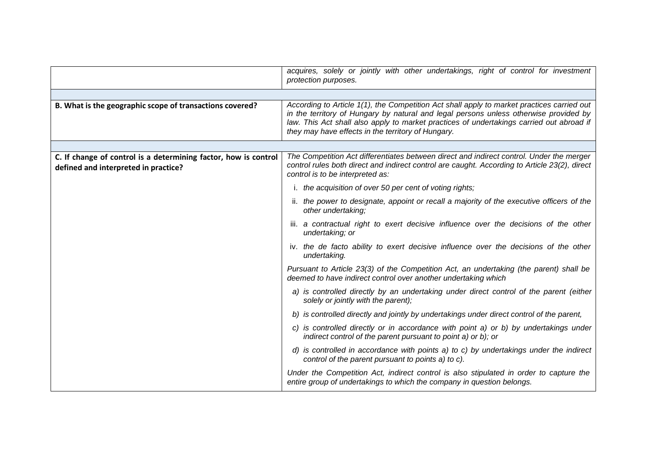|                                                                                                         | acquires, solely or jointly with other undertakings, right of control for investment<br>protection purposes.                                                                                                                                                                                                                          |
|---------------------------------------------------------------------------------------------------------|---------------------------------------------------------------------------------------------------------------------------------------------------------------------------------------------------------------------------------------------------------------------------------------------------------------------------------------|
|                                                                                                         |                                                                                                                                                                                                                                                                                                                                       |
| B. What is the geographic scope of transactions covered?                                                | According to Article 1(1), the Competition Act shall apply to market practices carried out<br>in the territory of Hungary by natural and legal persons unless otherwise provided by<br>law. This Act shall also apply to market practices of undertakings carried out abroad if<br>they may have effects in the territory of Hungary. |
|                                                                                                         |                                                                                                                                                                                                                                                                                                                                       |
| C. If change of control is a determining factor, how is control<br>defined and interpreted in practice? | The Competition Act differentiates between direct and indirect control. Under the merger<br>control rules both direct and indirect control are caught. According to Article 23(2), direct<br>control is to be interpreted as:                                                                                                         |
|                                                                                                         | i. the acquisition of over 50 per cent of voting rights;                                                                                                                                                                                                                                                                              |
|                                                                                                         | ii. the power to designate, appoint or recall a majority of the executive officers of the<br>other undertaking;                                                                                                                                                                                                                       |
|                                                                                                         | iii. a contractual right to exert decisive influence over the decisions of the other<br>undertaking; or                                                                                                                                                                                                                               |
|                                                                                                         | iv. the de facto ability to exert decisive influence over the decisions of the other<br>undertaking.                                                                                                                                                                                                                                  |
|                                                                                                         | Pursuant to Article 23(3) of the Competition Act, an undertaking (the parent) shall be<br>deemed to have indirect control over another undertaking which                                                                                                                                                                              |
|                                                                                                         | a) is controlled directly by an undertaking under direct control of the parent (either<br>solely or jointly with the parent);                                                                                                                                                                                                         |
|                                                                                                         | b) is controlled directly and jointly by undertakings under direct control of the parent,                                                                                                                                                                                                                                             |
|                                                                                                         | c) is controlled directly or in accordance with point a) or b) by undertakings under<br>indirect control of the parent pursuant to point a) or b); or                                                                                                                                                                                 |
|                                                                                                         | d) is controlled in accordance with points a) to c) by undertakings under the indirect<br>control of the parent pursuant to points a) to c).                                                                                                                                                                                          |
|                                                                                                         | Under the Competition Act, indirect control is also stipulated in order to capture the<br>entire group of undertakings to which the company in question belongs.                                                                                                                                                                      |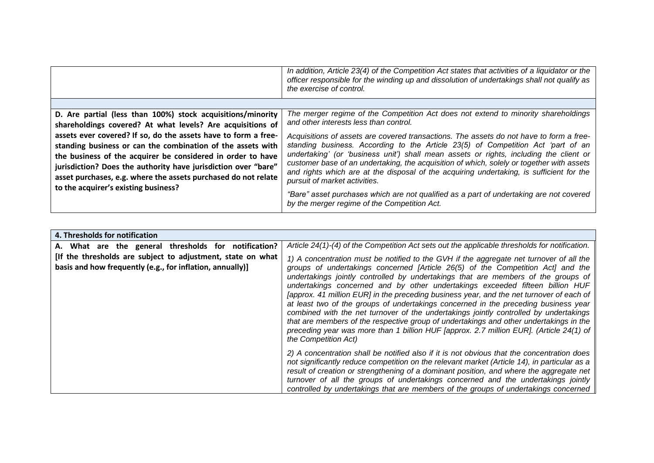|                                                                                                                                                                                                                                                                                                                                  | In addition, Article 23(4) of the Competition Act states that activities of a liquidator or the<br>officer responsible for the winding up and dissolution of undertakings shall not qualify as<br>the exercise of control.                                                                                                                                                                                                                                                                      |
|----------------------------------------------------------------------------------------------------------------------------------------------------------------------------------------------------------------------------------------------------------------------------------------------------------------------------------|-------------------------------------------------------------------------------------------------------------------------------------------------------------------------------------------------------------------------------------------------------------------------------------------------------------------------------------------------------------------------------------------------------------------------------------------------------------------------------------------------|
|                                                                                                                                                                                                                                                                                                                                  |                                                                                                                                                                                                                                                                                                                                                                                                                                                                                                 |
| D. Are partial (less than 100%) stock acquisitions/minority                                                                                                                                                                                                                                                                      | The merger regime of the Competition Act does not extend to minority shareholdings<br>and other interests less than control.                                                                                                                                                                                                                                                                                                                                                                    |
| shareholdings covered? At what levels? Are acquisitions of                                                                                                                                                                                                                                                                       |                                                                                                                                                                                                                                                                                                                                                                                                                                                                                                 |
| assets ever covered? If so, do the assets have to form a free-<br>standing business or can the combination of the assets with<br>the business of the acquirer be considered in order to have<br>jurisdiction? Does the authority have jurisdiction over "bare"<br>asset purchases, e.g. where the assets purchased do not relate | Acquisitions of assets are covered transactions. The assets do not have to form a free-<br>standing business. According to the Article 23(5) of Competition Act 'part of an<br>undertaking' (or 'business unit') shall mean assets or rights, including the client or<br>customer base of an undertaking, the acquisition of which, solely or together with assets<br>and rights which are at the disposal of the acquiring undertaking, is sufficient for the<br>pursuit of market activities. |
| to the acquirer's existing business?                                                                                                                                                                                                                                                                                             | "Bare" asset purchases which are not qualified as a part of undertaking are not covered<br>by the merger regime of the Competition Act.                                                                                                                                                                                                                                                                                                                                                         |

| 4. Thresholds for notification                                                                                           |                                                                                                                                                                                                                                                                                                                                                                                                                                                                                                                                                                                                                                                                                                                                                                                                                                           |
|--------------------------------------------------------------------------------------------------------------------------|-------------------------------------------------------------------------------------------------------------------------------------------------------------------------------------------------------------------------------------------------------------------------------------------------------------------------------------------------------------------------------------------------------------------------------------------------------------------------------------------------------------------------------------------------------------------------------------------------------------------------------------------------------------------------------------------------------------------------------------------------------------------------------------------------------------------------------------------|
| A. What are the general thresholds for notification?                                                                     | Article 24(1)-(4) of the Competition Act sets out the applicable thresholds for notification.                                                                                                                                                                                                                                                                                                                                                                                                                                                                                                                                                                                                                                                                                                                                             |
| [If the thresholds are subject to adjustment, state on what<br>basis and how frequently (e.g., for inflation, annually)] | 1) A concentration must be notified to the GVH if the aggregate net turnover of all the<br>groups of undertakings concerned [Article 26(5) of the Competition Act] and the<br>undertakings jointly controlled by undertakings that are members of the groups of<br>undertakings concerned and by other undertakings exceeded fifteen billion HUF<br>[approx. 41 million EUR] in the preceding business year, and the net turnover of each of<br>at least two of the groups of undertakings concerned in the preceding business year<br>combined with the net turnover of the undertakings jointly controlled by undertakings<br>that are members of the respective group of undertakings and other undertakings in the<br>preceding year was more than 1 billion HUF [approx. 2.7 million EUR]. (Article 24(1) of<br>the Competition Act) |
|                                                                                                                          | 2) A concentration shall be notified also if it is not obvious that the concentration does<br>not significantly reduce competition on the relevant market (Article 14), in particular as a<br>result of creation or strengthening of a dominant position, and where the aggregate net<br>turnover of all the groups of undertakings concerned and the undertakings jointly<br>controlled by undertakings that are members of the groups of undertakings concerned                                                                                                                                                                                                                                                                                                                                                                         |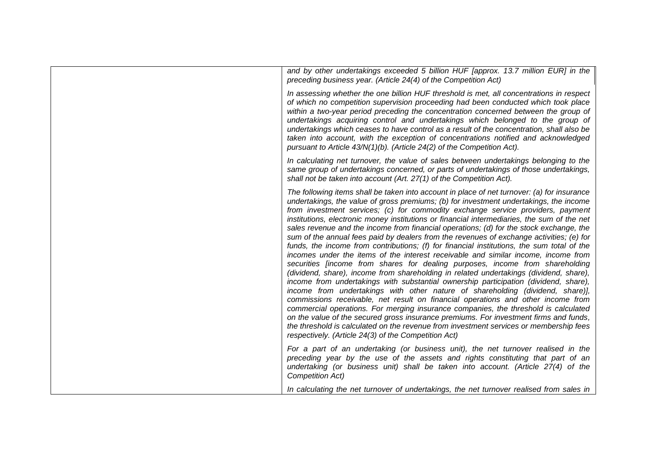| and by other undertakings exceeded 5 billion HUF [approx. 13.7 million EUR] in the<br>preceding business year. (Article 24(4) of the Competition Act)                                                                                                                                                                                                                                                                                                                                                                                                                                                                                                                                                                                                                                                                                                                                                                                                                                                                                                                                                                                                                                                                                                                                                                                                                                                                                                                                                                         |
|-------------------------------------------------------------------------------------------------------------------------------------------------------------------------------------------------------------------------------------------------------------------------------------------------------------------------------------------------------------------------------------------------------------------------------------------------------------------------------------------------------------------------------------------------------------------------------------------------------------------------------------------------------------------------------------------------------------------------------------------------------------------------------------------------------------------------------------------------------------------------------------------------------------------------------------------------------------------------------------------------------------------------------------------------------------------------------------------------------------------------------------------------------------------------------------------------------------------------------------------------------------------------------------------------------------------------------------------------------------------------------------------------------------------------------------------------------------------------------------------------------------------------------|
| In assessing whether the one billion HUF threshold is met, all concentrations in respect<br>of which no competition supervision proceeding had been conducted which took place<br>within a two-year period preceding the concentration concerned between the group of<br>undertakings acquiring control and undertakings which belonged to the group of<br>undertakings which ceases to have control as a result of the concentration, shall also be<br>taken into account, with the exception of concentrations notified and acknowledged<br>pursuant to Article 43/N(1)(b). (Article 24(2) of the Competition Act).                                                                                                                                                                                                                                                                                                                                                                                                                                                                                                                                                                                                                                                                                                                                                                                                                                                                                                         |
| In calculating net turnover, the value of sales between undertakings belonging to the<br>same group of undertakings concerned, or parts of undertakings of those undertakings,<br>shall not be taken into account (Art. 27(1) of the Competition Act).                                                                                                                                                                                                                                                                                                                                                                                                                                                                                                                                                                                                                                                                                                                                                                                                                                                                                                                                                                                                                                                                                                                                                                                                                                                                        |
| The following items shall be taken into account in place of net turnover: (a) for insurance<br>undertakings, the value of gross premiums; (b) for investment undertakings, the income<br>from investment services; (c) for commodity exchange service providers, payment<br>institutions, electronic money institutions or financial intermediaries, the sum of the net<br>sales revenue and the income from financial operations; (d) for the stock exchange, the<br>sum of the annual fees paid by dealers from the revenues of exchange activities; (e) for<br>funds, the income from contributions; (f) for financial institutions, the sum total of the<br>incomes under the items of the interest receivable and similar income, income from<br>securities [income from shares for dealing purposes, income from shareholding<br>(dividend, share), income from shareholding in related undertakings (dividend, share),<br>income from undertakings with substantial ownership participation (dividend, share),<br>income from undertakings with other nature of shareholding (dividend, share)],<br>commissions receivable, net result on financial operations and other income from<br>commercial operations. For merging insurance companies, the threshold is calculated<br>on the value of the secured gross insurance premiums. For investment firms and funds,<br>the threshold is calculated on the revenue from investment services or membership fees<br>respectively. (Article 24(3) of the Competition Act) |
| For a part of an undertaking (or business unit), the net turnover realised in the<br>preceding year by the use of the assets and rights constituting that part of an<br>undertaking (or business unit) shall be taken into account. (Article 27(4) of the<br><b>Competition Act)</b>                                                                                                                                                                                                                                                                                                                                                                                                                                                                                                                                                                                                                                                                                                                                                                                                                                                                                                                                                                                                                                                                                                                                                                                                                                          |
| In calculating the net turnover of undertakings, the net turnover realised from sales in                                                                                                                                                                                                                                                                                                                                                                                                                                                                                                                                                                                                                                                                                                                                                                                                                                                                                                                                                                                                                                                                                                                                                                                                                                                                                                                                                                                                                                      |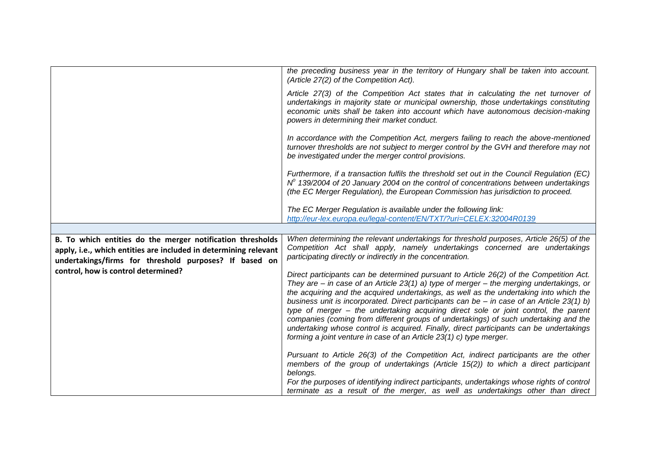|                                                                                                                                                                                          | the preceding business year in the territory of Hungary shall be taken into account.<br>(Article 27(2) of the Competition Act).                                                                                                                                                                                                                                                                                                                                                                                                                                                                                                                                                                                                   |
|------------------------------------------------------------------------------------------------------------------------------------------------------------------------------------------|-----------------------------------------------------------------------------------------------------------------------------------------------------------------------------------------------------------------------------------------------------------------------------------------------------------------------------------------------------------------------------------------------------------------------------------------------------------------------------------------------------------------------------------------------------------------------------------------------------------------------------------------------------------------------------------------------------------------------------------|
|                                                                                                                                                                                          | Article 27(3) of the Competition Act states that in calculating the net turnover of<br>undertakings in majority state or municipal ownership, those undertakings constituting<br>economic units shall be taken into account which have autonomous decision-making<br>powers in determining their market conduct.                                                                                                                                                                                                                                                                                                                                                                                                                  |
|                                                                                                                                                                                          | In accordance with the Competition Act, mergers failing to reach the above-mentioned<br>turnover thresholds are not subject to merger control by the GVH and therefore may not<br>be investigated under the merger control provisions.                                                                                                                                                                                                                                                                                                                                                                                                                                                                                            |
|                                                                                                                                                                                          | Furthermore, if a transaction fulfils the threshold set out in the Council Regulation (EC)<br>$No$ 139/2004 of 20 January 2004 on the control of concentrations between undertakings<br>(the EC Merger Regulation), the European Commission has jurisdiction to proceed.                                                                                                                                                                                                                                                                                                                                                                                                                                                          |
|                                                                                                                                                                                          | The EC Merger Regulation is available under the following link:<br>http://eur-lex.europa.eu/legal-content/EN/TXT/?uri=CELEX:32004R0139                                                                                                                                                                                                                                                                                                                                                                                                                                                                                                                                                                                            |
|                                                                                                                                                                                          |                                                                                                                                                                                                                                                                                                                                                                                                                                                                                                                                                                                                                                                                                                                                   |
| B. To which entities do the merger notification thresholds<br>apply, i.e., which entities are included in determining relevant<br>undertakings/firms for threshold purposes? If based on | When determining the relevant undertakings for threshold purposes, Article 26(5) of the<br>Competition Act shall apply, namely undertakings concerned are undertakings<br>participating directly or indirectly in the concentration.                                                                                                                                                                                                                                                                                                                                                                                                                                                                                              |
| control, how is control determined?                                                                                                                                                      | Direct participants can be determined pursuant to Article 26(2) of the Competition Act.<br>They are $-$ in case of an Article 23(1) a) type of merger $-$ the merging undertakings, or<br>the acquiring and the acquired undertakings, as well as the undertaking into which the<br>business unit is incorporated. Direct participants can be $-$ in case of an Article 23(1) b)<br>type of merger - the undertaking acquiring direct sole or joint control, the parent<br>companies (coming from different groups of undertakings) of such undertaking and the<br>undertaking whose control is acquired. Finally, direct participants can be undertakings<br>forming a joint venture in case of an Article 23(1) c) type merger. |
|                                                                                                                                                                                          | Pursuant to Article 26(3) of the Competition Act, indirect participants are the other<br>members of the group of undertakings (Article 15(2)) to which a direct participant<br>belongs.                                                                                                                                                                                                                                                                                                                                                                                                                                                                                                                                           |
|                                                                                                                                                                                          | For the purposes of identifying indirect participants, undertakings whose rights of control<br>terminate as a result of the merger, as well as undertakings other than direct                                                                                                                                                                                                                                                                                                                                                                                                                                                                                                                                                     |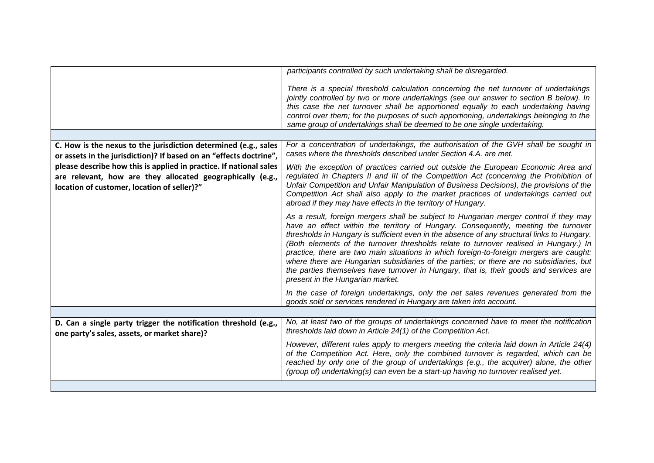|                                                                                                                                                                                 | participants controlled by such undertaking shall be disregarded.                                                                                                                                                                                                                                                                                                                                                                                                                                                                                                                                                                                                                        |
|---------------------------------------------------------------------------------------------------------------------------------------------------------------------------------|------------------------------------------------------------------------------------------------------------------------------------------------------------------------------------------------------------------------------------------------------------------------------------------------------------------------------------------------------------------------------------------------------------------------------------------------------------------------------------------------------------------------------------------------------------------------------------------------------------------------------------------------------------------------------------------|
|                                                                                                                                                                                 | There is a special threshold calculation concerning the net turnover of undertakings<br>jointly controlled by two or more undertakings (see our answer to section B below). In<br>this case the net turnover shall be apportioned equally to each undertaking having<br>control over them; for the purposes of such apportioning, undertakings belonging to the<br>same group of undertakings shall be deemed to be one single undertaking.                                                                                                                                                                                                                                              |
|                                                                                                                                                                                 |                                                                                                                                                                                                                                                                                                                                                                                                                                                                                                                                                                                                                                                                                          |
| C. How is the nexus to the jurisdiction determined (e.g., sales<br>or assets in the jurisdiction)? If based on an "effects doctrine",                                           | For a concentration of undertakings, the authorisation of the GVH shall be sought in<br>cases where the thresholds described under Section 4.A. are met.                                                                                                                                                                                                                                                                                                                                                                                                                                                                                                                                 |
| please describe how this is applied in practice. If national sales<br>are relevant, how are they allocated geographically (e.g.,<br>location of customer, location of seller)?" | With the exception of practices carried out outside the European Economic Area and<br>regulated in Chapters II and III of the Competition Act (concerning the Prohibition of<br>Unfair Competition and Unfair Manipulation of Business Decisions), the provisions of the<br>Competition Act shall also apply to the market practices of undertakings carried out<br>abroad if they may have effects in the territory of Hungary.                                                                                                                                                                                                                                                         |
|                                                                                                                                                                                 | As a result, foreign mergers shall be subject to Hungarian merger control if they may<br>have an effect within the territory of Hungary. Consequently, meeting the turnover<br>thresholds in Hungary is sufficient even in the absence of any structural links to Hungary.<br>(Both elements of the turnover thresholds relate to turnover realised in Hungary.) In<br>practice, there are two main situations in which foreign-to-foreign mergers are caught:<br>where there are Hungarian subsidiaries of the parties; or there are no subsidiaries, but<br>the parties themselves have turnover in Hungary, that is, their goods and services are<br>present in the Hungarian market. |
|                                                                                                                                                                                 | In the case of foreign undertakings, only the net sales revenues generated from the<br>goods sold or services rendered in Hungary are taken into account.                                                                                                                                                                                                                                                                                                                                                                                                                                                                                                                                |
|                                                                                                                                                                                 |                                                                                                                                                                                                                                                                                                                                                                                                                                                                                                                                                                                                                                                                                          |
| D. Can a single party trigger the notification threshold (e.g.,<br>one party's sales, assets, or market share)?                                                                 | No, at least two of the groups of undertakings concerned have to meet the notification<br>thresholds laid down in Article 24(1) of the Competition Act.                                                                                                                                                                                                                                                                                                                                                                                                                                                                                                                                  |
|                                                                                                                                                                                 | However, different rules apply to mergers meeting the criteria laid down in Article 24(4)<br>of the Competition Act. Here, only the combined turnover is regarded, which can be<br>reached by only one of the group of undertakings (e.g., the acquirer) alone, the other<br>(group of) undertaking(s) can even be a start-up having no turnover realised yet.                                                                                                                                                                                                                                                                                                                           |
|                                                                                                                                                                                 |                                                                                                                                                                                                                                                                                                                                                                                                                                                                                                                                                                                                                                                                                          |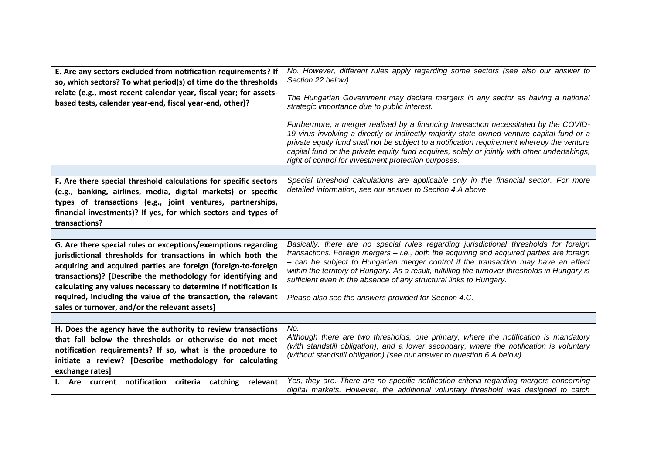| E. Are any sectors excluded from notification requirements? If<br>so, which sectors? To what period(s) of time do the thresholds<br>relate (e.g., most recent calendar year, fiscal year; for assets-<br>based tests, calendar year-end, fiscal year-end, other)? | No. However, different rules apply regarding some sectors (see also our answer to<br>Section 22 below)<br>The Hungarian Government may declare mergers in any sector as having a national<br>strategic importance due to public interest.<br>Furthermore, a merger realised by a financing transaction necessitated by the COVID-<br>19 virus involving a directly or indirectly majority state-owned venture capital fund or a |
|-------------------------------------------------------------------------------------------------------------------------------------------------------------------------------------------------------------------------------------------------------------------|---------------------------------------------------------------------------------------------------------------------------------------------------------------------------------------------------------------------------------------------------------------------------------------------------------------------------------------------------------------------------------------------------------------------------------|
|                                                                                                                                                                                                                                                                   | private equity fund shall not be subject to a notification requirement whereby the venture<br>capital fund or the private equity fund acquires, solely or jointly with other undertakings,<br>right of control for investment protection purposes.                                                                                                                                                                              |
|                                                                                                                                                                                                                                                                   |                                                                                                                                                                                                                                                                                                                                                                                                                                 |
| F. Are there special threshold calculations for specific sectors                                                                                                                                                                                                  | Special threshold calculations are applicable only in the financial sector. For more                                                                                                                                                                                                                                                                                                                                            |
| (e.g., banking, airlines, media, digital markets) or specific                                                                                                                                                                                                     | detailed information, see our answer to Section 4.A above.                                                                                                                                                                                                                                                                                                                                                                      |
| types of transactions (e.g., joint ventures, partnerships,                                                                                                                                                                                                        |                                                                                                                                                                                                                                                                                                                                                                                                                                 |
| financial investments)? If yes, for which sectors and types of                                                                                                                                                                                                    |                                                                                                                                                                                                                                                                                                                                                                                                                                 |
| transactions?                                                                                                                                                                                                                                                     |                                                                                                                                                                                                                                                                                                                                                                                                                                 |
|                                                                                                                                                                                                                                                                   |                                                                                                                                                                                                                                                                                                                                                                                                                                 |
| G. Are there special rules or exceptions/exemptions regarding                                                                                                                                                                                                     | Basically, there are no special rules regarding jurisdictional thresholds for foreign<br>transactions. Foreign mergers - i.e., both the acquiring and acquired parties are foreign                                                                                                                                                                                                                                              |
| jurisdictional thresholds for transactions in which both the                                                                                                                                                                                                      | - can be subject to Hungarian merger control if the transaction may have an effect                                                                                                                                                                                                                                                                                                                                              |
| acquiring and acquired parties are foreign (foreign-to-foreign<br>transactions)? [Describe the methodology for identifying and                                                                                                                                    | within the territory of Hungary. As a result, fulfilling the turnover thresholds in Hungary is                                                                                                                                                                                                                                                                                                                                  |
| calculating any values necessary to determine if notification is                                                                                                                                                                                                  | sufficient even in the absence of any structural links to Hungary.                                                                                                                                                                                                                                                                                                                                                              |
| required, including the value of the transaction, the relevant                                                                                                                                                                                                    | Please also see the answers provided for Section 4.C.                                                                                                                                                                                                                                                                                                                                                                           |
| sales or turnover, and/or the relevant assets]                                                                                                                                                                                                                    |                                                                                                                                                                                                                                                                                                                                                                                                                                 |
|                                                                                                                                                                                                                                                                   |                                                                                                                                                                                                                                                                                                                                                                                                                                 |
| H. Does the agency have the authority to review transactions                                                                                                                                                                                                      | No.                                                                                                                                                                                                                                                                                                                                                                                                                             |
| that fall below the thresholds or otherwise do not meet                                                                                                                                                                                                           | Although there are two thresholds, one primary, where the notification is mandatory                                                                                                                                                                                                                                                                                                                                             |
| notification requirements? If so, what is the procedure to                                                                                                                                                                                                        | (with standstill obligation), and a lower secondary, where the notification is voluntary                                                                                                                                                                                                                                                                                                                                        |
| initiate a review? [Describe methodology for calculating                                                                                                                                                                                                          | (without standstill obligation) (see our answer to question 6.A below).                                                                                                                                                                                                                                                                                                                                                         |
| exchange rates]                                                                                                                                                                                                                                                   |                                                                                                                                                                                                                                                                                                                                                                                                                                 |
| I. Are current notification criteria catching relevant                                                                                                                                                                                                            | Yes, they are. There are no specific notification criteria regarding mergers concerning<br>digital markets. However, the additional voluntary threshold was designed to catch                                                                                                                                                                                                                                                   |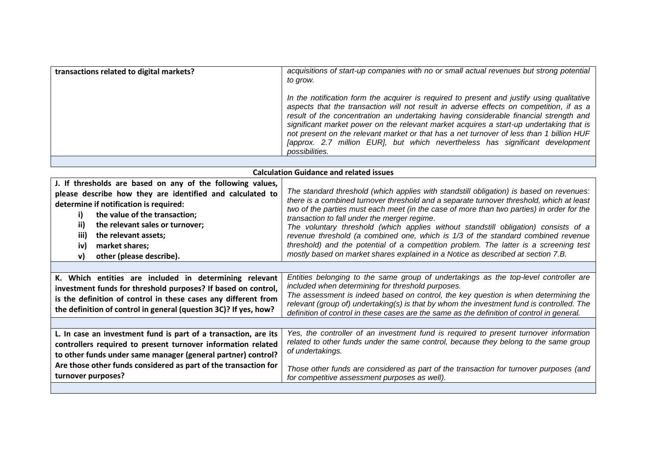| transactions related to digital markets? | acquisitions of start-up companies with no or small actual revenues but strong potential<br>to grow.                                                                                                                                                                                                                                                                                                                                                                                                                                                                     |
|------------------------------------------|--------------------------------------------------------------------------------------------------------------------------------------------------------------------------------------------------------------------------------------------------------------------------------------------------------------------------------------------------------------------------------------------------------------------------------------------------------------------------------------------------------------------------------------------------------------------------|
|                                          | In the notification form the acquirer is required to present and justify using qualitative<br>aspects that the transaction will not result in adverse effects on competition, if as a<br>result of the concentration an undertaking having considerable financial strength and<br>significant market power on the relevant market acquires a start-up undertaking that is<br>not present on the relevant market or that has a net turnover of less than 1 billion HUF<br>[approx. 2.7 million EUR], but which nevertheless has significant development<br>possibilities. |
|                                          |                                                                                                                                                                                                                                                                                                                                                                                                                                                                                                                                                                          |

| <b>Calculation Guidance and related issues</b>                                                                                                                                                                                                                                                                                                |                                                                                                                                                                                                                                                                                                                                                                                                                                                                                                                                                                                                                                                                                          |
|-----------------------------------------------------------------------------------------------------------------------------------------------------------------------------------------------------------------------------------------------------------------------------------------------------------------------------------------------|------------------------------------------------------------------------------------------------------------------------------------------------------------------------------------------------------------------------------------------------------------------------------------------------------------------------------------------------------------------------------------------------------------------------------------------------------------------------------------------------------------------------------------------------------------------------------------------------------------------------------------------------------------------------------------------|
| J. If thresholds are based on any of the following values,<br>please describe how they are identified and calculated to<br>determine if notification is required:<br>the value of the transaction;<br>i)<br>ii)<br>the relevant sales or turnover;<br>iii)<br>the relevant assets;<br>market shares;<br>iv)<br>other (please describe).<br>v) | The standard threshold (which applies with standstill obligation) is based on revenues:<br>there is a combined turnover threshold and a separate turnover threshold, which at least<br>two of the parties must each meet (in the case of more than two parties) in order for the<br>transaction to fall under the merger regime.<br>The voluntary threshold (which applies without standstill obligation) consists of a<br>revenue threshold (a combined one, which is 1/3 of the standard combined revenue<br>threshold) and the potential of a competition problem. The latter is a screening test<br>mostly based on market shares explained in a Notice as described at section 7.B. |
| K. Which entities are included in determining relevant<br>investment funds for threshold purposes? If based on control,<br>is the definition of control in these cases any different from<br>the definition of control in general (question 3C)? If yes, how?                                                                                 | Entities belonging to the same group of undertakings as the top-level controller are<br>included when determining for threshold purposes.<br>The assessment is indeed based on control, the key question is when determining the<br>relevant (group of) undertaking(s) is that by whom the investment fund is controlled. The<br>definition of control in these cases are the same as the definition of control in general.                                                                                                                                                                                                                                                              |
| L. In case an investment fund is part of a transaction, are its<br>controllers required to present turnover information related<br>to other funds under same manager (general partner) control?<br>Are those other funds considered as part of the transaction for<br>turnover purposes?                                                      | Yes, the controller of an investment fund is required to present turnover information<br>related to other funds under the same control, because they belong to the same group<br>of undertakings.<br>Those other funds are considered as part of the transaction for turnover purposes (and<br>for competitive assessment purposes as well).                                                                                                                                                                                                                                                                                                                                             |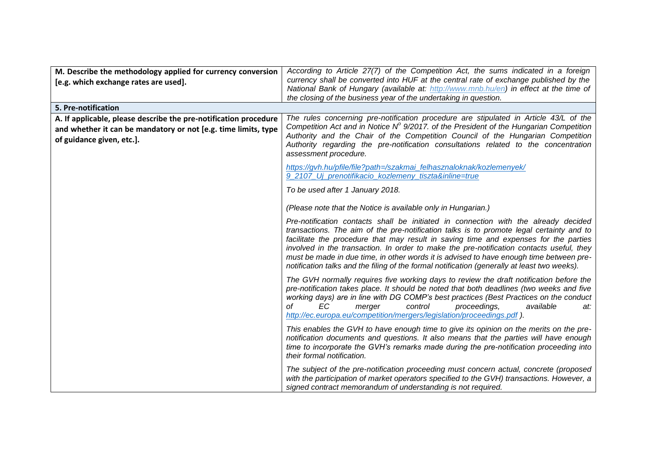| M. Describe the methodology applied for currency conversion<br>[e.g. which exchange rates are used].                                                            | According to Article 27(7) of the Competition Act, the sums indicated in a foreign<br>currency shall be converted into HUF at the central rate of exchange published by the<br>National Bank of Hungary (available at: http://www.mnb.hu/en) in effect at the time of<br>the closing of the business year of the undertaking in question.                                                                                                                                                                                                                      |
|-----------------------------------------------------------------------------------------------------------------------------------------------------------------|----------------------------------------------------------------------------------------------------------------------------------------------------------------------------------------------------------------------------------------------------------------------------------------------------------------------------------------------------------------------------------------------------------------------------------------------------------------------------------------------------------------------------------------------------------------|
| 5. Pre-notification                                                                                                                                             |                                                                                                                                                                                                                                                                                                                                                                                                                                                                                                                                                                |
| A. If applicable, please describe the pre-notification procedure<br>and whether it can be mandatory or not [e.g. time limits, type<br>of guidance given, etc.]. | The rules concerning pre-notification procedure are stipulated in Article 43/L of the<br>Competition Act and in Notice $N^{\circ}$ 9/2017. of the President of the Hungarian Competition<br>Authority and the Chair of the Competition Council of the Hungarian Competition<br>Authority regarding the pre-notification consultations related to the concentration<br>assessment procedure.                                                                                                                                                                    |
|                                                                                                                                                                 | https://gvh.hu/pfile/file?path=/szakmai_felhasznaloknak/kozlemenyek/<br>9_2107_Uj_prenotifikacio_kozlemeny_tiszta&inline=true                                                                                                                                                                                                                                                                                                                                                                                                                                  |
|                                                                                                                                                                 | To be used after 1 January 2018.                                                                                                                                                                                                                                                                                                                                                                                                                                                                                                                               |
|                                                                                                                                                                 | (Please note that the Notice is available only in Hungarian.)                                                                                                                                                                                                                                                                                                                                                                                                                                                                                                  |
|                                                                                                                                                                 | Pre-notification contacts shall be initiated in connection with the already decided<br>transactions. The aim of the pre-notification talks is to promote legal certainty and to<br>facilitate the procedure that may result in saving time and expenses for the parties<br>involved in the transaction. In order to make the pre-notification contacts useful, they<br>must be made in due time, in other words it is advised to have enough time between pre-<br>notification talks and the filing of the formal notification (generally at least two weeks). |
|                                                                                                                                                                 | The GVH normally requires five working days to review the draft notification before the<br>pre-notification takes place. It should be noted that both deadlines (two weeks and five<br>working days) are in line with DG COMP's best practices (Best Practices on the conduct<br>ЕC<br>control<br>οf<br>merger<br>proceedings,<br>available<br>at:<br>http://ec.europa.eu/competition/mergers/legislation/proceedings.pdf).                                                                                                                                    |
|                                                                                                                                                                 | This enables the GVH to have enough time to give its opinion on the merits on the pre-<br>notification documents and questions. It also means that the parties will have enough<br>time to incorporate the GVH's remarks made during the pre-notification proceeding into<br>their formal notification.                                                                                                                                                                                                                                                        |
|                                                                                                                                                                 | The subject of the pre-notification proceeding must concern actual, concrete (proposed<br>with the participation of market operators specified to the GVH) transactions. However, a<br>signed contract memorandum of understanding is not required.                                                                                                                                                                                                                                                                                                            |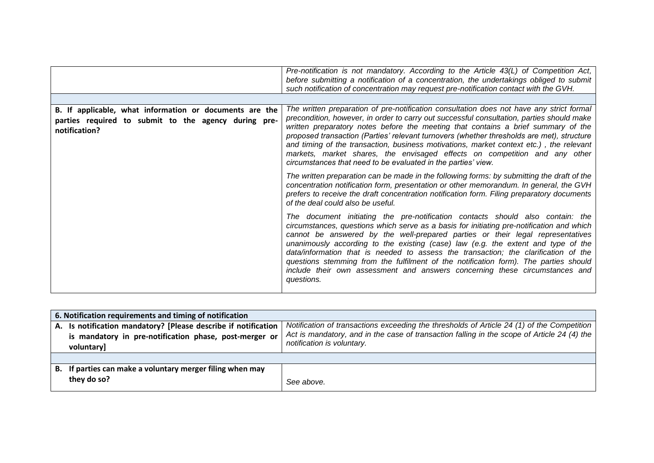|                                                                                                                                  | Pre-notification is not mandatory. According to the Article 43(L) of Competition Act,<br>before submitting a notification of a concentration, the undertakings obliged to submit<br>such notification of concentration may request pre-notification contact with the GVH.                                                                                                                                                                                                                                                                                                                                                      |
|----------------------------------------------------------------------------------------------------------------------------------|--------------------------------------------------------------------------------------------------------------------------------------------------------------------------------------------------------------------------------------------------------------------------------------------------------------------------------------------------------------------------------------------------------------------------------------------------------------------------------------------------------------------------------------------------------------------------------------------------------------------------------|
| B. If applicable, what information or documents are the<br>parties required to submit to the agency during pre-<br>notification? | The written preparation of pre-notification consultation does not have any strict formal<br>precondition, however, in order to carry out successful consultation, parties should make<br>written preparatory notes before the meeting that contains a brief summary of the<br>proposed transaction (Parties' relevant turnovers (whether thresholds are met), structure<br>and timing of the transaction, business motivations, market context etc.), the relevant<br>markets, market shares, the envisaged effects on competition and any other<br>circumstances that need to be evaluated in the parties' view.              |
|                                                                                                                                  | The written preparation can be made in the following forms: by submitting the draft of the<br>concentration notification form, presentation or other memorandum. In general, the GVH<br>prefers to receive the draft concentration notification form. Filing preparatory documents<br>of the deal could also be useful.                                                                                                                                                                                                                                                                                                        |
|                                                                                                                                  | The document initiating the pre-notification contacts should also contain: the<br>circumstances, questions which serve as a basis for initiating pre-notification and which<br>cannot be answered by the well-prepared parties or their legal representatives<br>unanimously according to the existing (case) law (e.g. the extent and type of the<br>data/information that is needed to assess the transaction; the clarification of the<br>questions stemming from the fulfilment of the notification form). The parties should<br>include their own assessment and answers concerning these circumstances and<br>questions. |

| 6. Notification requirements and timing of notification        |                                                                                                                           |  |
|----------------------------------------------------------------|---------------------------------------------------------------------------------------------------------------------------|--|
| A. Is notification mandatory? [Please describe if notification | Notification of transactions exceeding the thresholds of Article 24 (1) of the Competition                                |  |
| is mandatory in pre-notification phase, post-merger or         | Act is mandatory, and in the case of transaction falling in the scope of Article 24 (4) the<br>notification is voluntary. |  |
| voluntary]                                                     |                                                                                                                           |  |
|                                                                |                                                                                                                           |  |
| B. If parties can make a voluntary merger filing when may      |                                                                                                                           |  |
| they do so?                                                    | See above.                                                                                                                |  |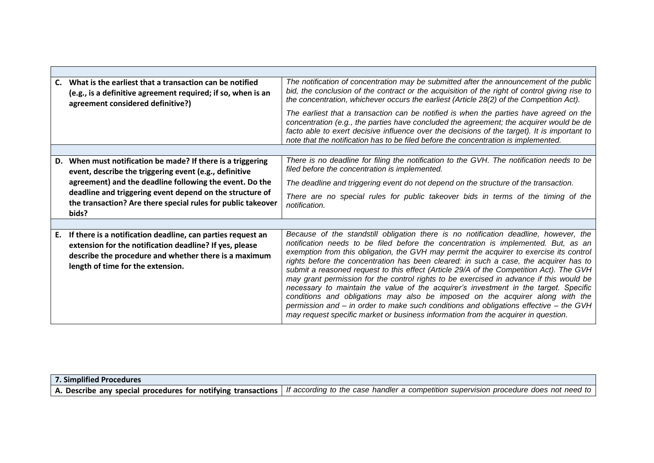| C. | What is the earliest that a transaction can be notified<br>(e.g., is a definitive agreement required; if so, when is an<br>agreement considered definitive?)                                                         | The notification of concentration may be submitted after the announcement of the public<br>bid, the conclusion of the contract or the acquisition of the right of control giving rise to<br>the concentration, whichever occurs the earliest (Article 28(2) of the Competition Act).<br>The earliest that a transaction can be notified is when the parties have agreed on the<br>concentration (e.g., the parties have concluded the agreement; the acquirer would be de<br>facto able to exert decisive influence over the decisions of the target). It is important to<br>note that the notification has to be filed before the concentration is implemented.                                                                                                                                                                                                                                             |
|----|----------------------------------------------------------------------------------------------------------------------------------------------------------------------------------------------------------------------|--------------------------------------------------------------------------------------------------------------------------------------------------------------------------------------------------------------------------------------------------------------------------------------------------------------------------------------------------------------------------------------------------------------------------------------------------------------------------------------------------------------------------------------------------------------------------------------------------------------------------------------------------------------------------------------------------------------------------------------------------------------------------------------------------------------------------------------------------------------------------------------------------------------|
|    |                                                                                                                                                                                                                      |                                                                                                                                                                                                                                                                                                                                                                                                                                                                                                                                                                                                                                                                                                                                                                                                                                                                                                              |
|    | D. When must notification be made? If there is a triggering<br>event, describe the triggering event (e.g., definitive                                                                                                | There is no deadline for filing the notification to the GVH. The notification needs to be<br>filed before the concentration is implemented.                                                                                                                                                                                                                                                                                                                                                                                                                                                                                                                                                                                                                                                                                                                                                                  |
|    | agreement) and the deadline following the event. Do the                                                                                                                                                              | The deadline and triggering event do not depend on the structure of the transaction.                                                                                                                                                                                                                                                                                                                                                                                                                                                                                                                                                                                                                                                                                                                                                                                                                         |
|    | deadline and triggering event depend on the structure of<br>the transaction? Are there special rules for public takeover<br>bids?                                                                                    | There are no special rules for public takeover bids in terms of the timing of the<br>notification.                                                                                                                                                                                                                                                                                                                                                                                                                                                                                                                                                                                                                                                                                                                                                                                                           |
|    |                                                                                                                                                                                                                      |                                                                                                                                                                                                                                                                                                                                                                                                                                                                                                                                                                                                                                                                                                                                                                                                                                                                                                              |
| Е. | If there is a notification deadline, can parties request an<br>extension for the notification deadline? If yes, please<br>describe the procedure and whether there is a maximum<br>length of time for the extension. | Because of the standstill obligation there is no notification deadline, however, the<br>notification needs to be filed before the concentration is implemented. But, as an<br>exemption from this obligation, the GVH may permit the acquirer to exercise its control<br>rights before the concentration has been cleared: in such a case, the acquirer has to<br>submit a reasoned request to this effect (Article 29/A of the Competition Act). The GVH<br>may grant permission for the control rights to be exercised in advance if this would be<br>necessary to maintain the value of the acquirer's investment in the target. Specific<br>conditions and obligations may also be imposed on the acquirer along with the<br>permission and - in order to make such conditions and obligations effective - the GVH<br>may request specific market or business information from the acquirer in question. |

| <b>7. Simplified Procedures</b> |                                                                                                                                                       |
|---------------------------------|-------------------------------------------------------------------------------------------------------------------------------------------------------|
|                                 | A. Describe any special procedures for notifying transactions   If according to the case handler a competition supervision procedure does not need to |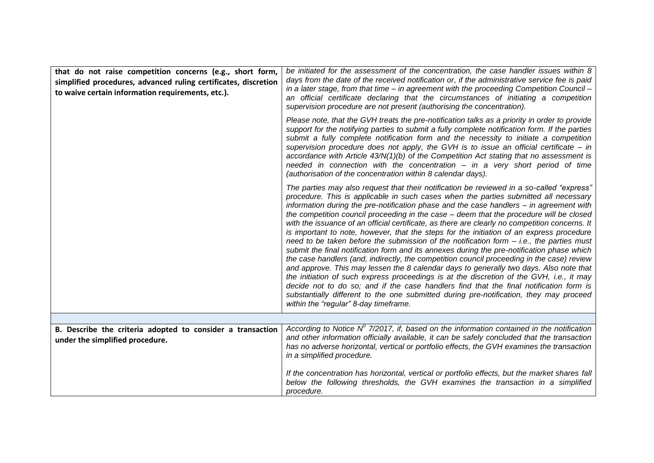| that do not raise competition concerns (e.g., short form,<br>simplified procedures, advanced ruling certificates, discretion<br>to waive certain information requirements, etc.). | be initiated for the assessment of the concentration, the case handler issues within 8<br>days from the date of the received notification or, if the administrative service fee is paid<br>in a later stage, from that time – in agreement with the proceeding Competition Council –<br>an official certificate declaring that the circumstances of initiating a competition<br>supervision procedure are not present (authorising the concentration).                                                                                                                                                                                                                                                                                                                                                                                                                                                                                                                                                                                                                                                                                                                                                                                                                             |
|-----------------------------------------------------------------------------------------------------------------------------------------------------------------------------------|------------------------------------------------------------------------------------------------------------------------------------------------------------------------------------------------------------------------------------------------------------------------------------------------------------------------------------------------------------------------------------------------------------------------------------------------------------------------------------------------------------------------------------------------------------------------------------------------------------------------------------------------------------------------------------------------------------------------------------------------------------------------------------------------------------------------------------------------------------------------------------------------------------------------------------------------------------------------------------------------------------------------------------------------------------------------------------------------------------------------------------------------------------------------------------------------------------------------------------------------------------------------------------|
|                                                                                                                                                                                   | Please note, that the GVH treats the pre-notification talks as a priority in order to provide<br>support for the notifying parties to submit a fully complete notification form. If the parties<br>submit a fully complete notification form and the necessity to initiate a competition<br>supervision procedure does not apply, the GVH is to issue an official certificate $-$ in<br>accordance with Article $43/N(1)(b)$ of the Competition Act stating that no assessment is<br>needed in connection with the concentration - in a very short period of time<br>(authorisation of the concentration within 8 calendar days).                                                                                                                                                                                                                                                                                                                                                                                                                                                                                                                                                                                                                                                  |
|                                                                                                                                                                                   | The parties may also request that their notification be reviewed in a so-called "express"<br>procedure. This is applicable in such cases when the parties submitted all necessary<br>information during the pre-notification phase and the case handlers - in agreement with<br>the competition council proceeding in the case - deem that the procedure will be closed<br>with the issuance of an official certificate, as there are clearly no competition concerns. It<br>is important to note, however, that the steps for the initiation of an express procedure<br>need to be taken before the submission of the notification form $-$ i.e., the parties must<br>submit the final notification form and its annexes during the pre-notification phase which<br>the case handlers (and, indirectly, the competition council proceeding in the case) review<br>and approve. This may lessen the 8 calendar days to generally two days. Also note that<br>the initiation of such express proceedings is at the discretion of the GVH, i.e., it may<br>decide not to do so; and if the case handlers find that the final notification form is<br>substantially different to the one submitted during pre-notification, they may proceed<br>within the "regular" 8-day timeframe. |
|                                                                                                                                                                                   |                                                                                                                                                                                                                                                                                                                                                                                                                                                                                                                                                                                                                                                                                                                                                                                                                                                                                                                                                                                                                                                                                                                                                                                                                                                                                    |
| B. Describe the criteria adopted to consider a transaction<br>under the simplified procedure.                                                                                     | According to Notice $N^{\circ}$ 7/2017, if, based on the information contained in the notification<br>and other information officially available, it can be safely concluded that the transaction<br>has no adverse horizontal, vertical or portfolio effects, the GVH examines the transaction<br>in a simplified procedure.                                                                                                                                                                                                                                                                                                                                                                                                                                                                                                                                                                                                                                                                                                                                                                                                                                                                                                                                                      |
|                                                                                                                                                                                   | If the concentration has horizontal, vertical or portfolio effects, but the market shares fall<br>below the following thresholds, the GVH examines the transaction in a simplified<br>procedure.                                                                                                                                                                                                                                                                                                                                                                                                                                                                                                                                                                                                                                                                                                                                                                                                                                                                                                                                                                                                                                                                                   |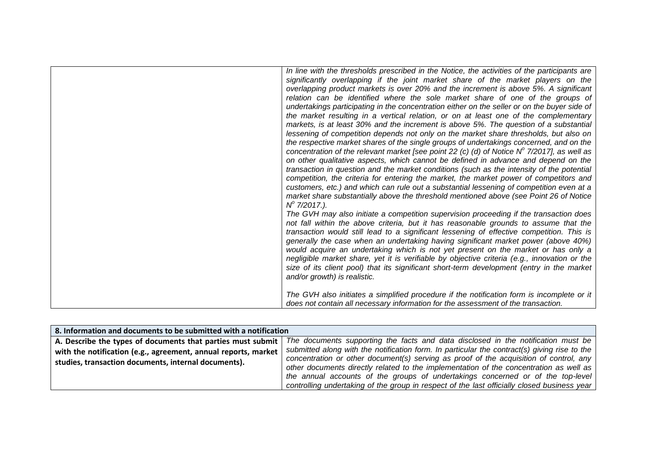| In line with the thresholds prescribed in the Notice, the activities of the participants are<br>significantly overlapping if the joint market share of the market players on the<br>overlapping product markets is over 20% and the increment is above 5%. A significant<br>relation can be identified where the sole market share of one of the groups of<br>undertakings participating in the concentration either on the seller or on the buyer side of<br>the market resulting in a vertical relation, or on at least one of the complementary<br>markets, is at least 30% and the increment is above 5%. The question of a substantial<br>lessening of competition depends not only on the market share thresholds, but also on<br>the respective market shares of the single groups of undertakings concerned, and on the<br>concentration of the relevant market [see point 22 (c) (d) of Notice $N^{\circ}$ 7/2017], as well as<br>on other qualitative aspects, which cannot be defined in advance and depend on the<br>transaction in question and the market conditions (such as the intensity of the potential<br>competition, the criteria for entering the market, the market power of competitors and<br>customers, etc.) and which can rule out a substantial lessening of competition even at a<br>market share substantially above the threshold mentioned above (see Point 26 of Notice<br>$N^{\circ}$ 7/2017.).<br>The GVH may also initiate a competition supervision proceeding if the transaction does<br>not fall within the above criteria, but it has reasonable grounds to assume that the<br>transaction would still lead to a significant lessening of effective competition. This is<br>generally the case when an undertaking having significant market power (above 40%)<br>would acquire an undertaking which is not yet present on the market or has only a<br>negligible market share, yet it is verifiable by objective criteria (e.g., innovation or the |
|-----------------------------------------------------------------------------------------------------------------------------------------------------------------------------------------------------------------------------------------------------------------------------------------------------------------------------------------------------------------------------------------------------------------------------------------------------------------------------------------------------------------------------------------------------------------------------------------------------------------------------------------------------------------------------------------------------------------------------------------------------------------------------------------------------------------------------------------------------------------------------------------------------------------------------------------------------------------------------------------------------------------------------------------------------------------------------------------------------------------------------------------------------------------------------------------------------------------------------------------------------------------------------------------------------------------------------------------------------------------------------------------------------------------------------------------------------------------------------------------------------------------------------------------------------------------------------------------------------------------------------------------------------------------------------------------------------------------------------------------------------------------------------------------------------------------------------------------------------------------------------------------------------------------------------------------------------------------------------------------------|
| size of its client pool) that its significant short-term development (entry in the market<br>and/or growth) is realistic.<br>The GVH also initiates a simplified procedure if the notification form is incomplete or it<br>does not contain all necessary information for the assessment of the transaction.                                                                                                                                                                                                                                                                                                                                                                                                                                                                                                                                                                                                                                                                                                                                                                                                                                                                                                                                                                                                                                                                                                                                                                                                                                                                                                                                                                                                                                                                                                                                                                                                                                                                                  |
|                                                                                                                                                                                                                                                                                                                                                                                                                                                                                                                                                                                                                                                                                                                                                                                                                                                                                                                                                                                                                                                                                                                                                                                                                                                                                                                                                                                                                                                                                                                                                                                                                                                                                                                                                                                                                                                                                                                                                                                               |

| 8. Information and documents to be submitted with a notification |                                                                                              |
|------------------------------------------------------------------|----------------------------------------------------------------------------------------------|
| A. Describe the types of documents that parties must submit      | The documents supporting the facts and data disclosed in the notification must be            |
| with the notification (e.g., agreement, annual reports, market   | submitted along with the notification form. In particular the contract(s) giving rise to the |
| studies, transaction documents, internal documents).             | concentration or other document(s) serving as proof of the acquisition of control, any       |
|                                                                  | other documents directly related to the implementation of the concentration as well as       |
|                                                                  | the annual accounts of the groups of undertakings concerned or of the top-level              |
|                                                                  | controlling undertaking of the group in respect of the last officially closed business year  |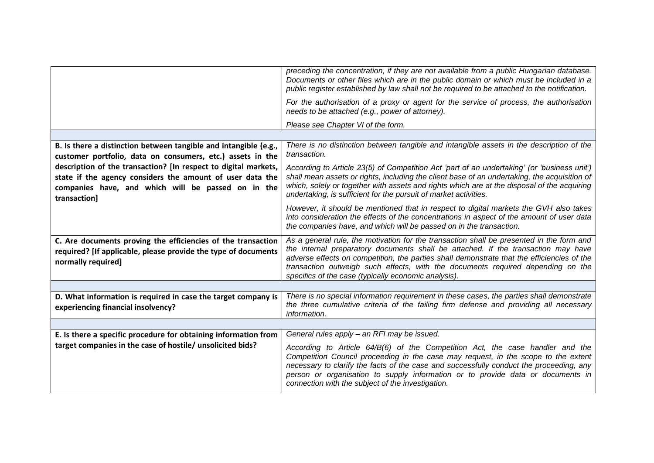|                                                                                                                                                                                                    | preceding the concentration, if they are not available from a public Hungarian database.<br>Documents or other files which are in the public domain or which must be included in a<br>public register established by law shall not be required to be attached to the notification.                                                                                                                                     |
|----------------------------------------------------------------------------------------------------------------------------------------------------------------------------------------------------|------------------------------------------------------------------------------------------------------------------------------------------------------------------------------------------------------------------------------------------------------------------------------------------------------------------------------------------------------------------------------------------------------------------------|
|                                                                                                                                                                                                    | For the authorisation of a proxy or agent for the service of process, the authorisation<br>needs to be attached (e.g., power of attorney).                                                                                                                                                                                                                                                                             |
|                                                                                                                                                                                                    | Please see Chapter VI of the form.                                                                                                                                                                                                                                                                                                                                                                                     |
|                                                                                                                                                                                                    |                                                                                                                                                                                                                                                                                                                                                                                                                        |
| B. Is there a distinction between tangible and intangible (e.g.,<br>customer portfolio, data on consumers, etc.) assets in the                                                                     | There is no distinction between tangible and intangible assets in the description of the<br>transaction.                                                                                                                                                                                                                                                                                                               |
| description of the transaction? [In respect to digital markets,<br>state if the agency considers the amount of user data the<br>companies have, and which will be passed on in the<br>transaction] | According to Article 23(5) of Competition Act 'part of an undertaking' (or 'business unit')<br>shall mean assets or rights, including the client base of an undertaking, the acquisition of<br>which, solely or together with assets and rights which are at the disposal of the acquiring<br>undertaking, is sufficient for the pursuit of market activities.                                                         |
|                                                                                                                                                                                                    | However, it should be mentioned that in respect to digital markets the GVH also takes<br>into consideration the effects of the concentrations in aspect of the amount of user data<br>the companies have, and which will be passed on in the transaction.                                                                                                                                                              |
| C. Are documents proving the efficiencies of the transaction<br>required? [If applicable, please provide the type of documents<br>normally required]                                               | As a general rule, the motivation for the transaction shall be presented in the form and<br>the internal preparatory documents shall be attached. If the transaction may have<br>adverse effects on competition, the parties shall demonstrate that the efficiencies of the<br>transaction outweigh such effects, with the documents required depending on the<br>specifics of the case (typically economic analysis). |
|                                                                                                                                                                                                    |                                                                                                                                                                                                                                                                                                                                                                                                                        |
| D. What information is required in case the target company is<br>experiencing financial insolvency?                                                                                                | There is no special information requirement in these cases, the parties shall demonstrate<br>the three cumulative criteria of the failing firm defense and providing all necessary<br>information.                                                                                                                                                                                                                     |
|                                                                                                                                                                                                    |                                                                                                                                                                                                                                                                                                                                                                                                                        |
| E. Is there a specific procedure for obtaining information from                                                                                                                                    | General rules apply - an RFI may be issued.                                                                                                                                                                                                                                                                                                                                                                            |
| target companies in the case of hostile/ unsolicited bids?                                                                                                                                         | According to Article 64/B(6) of the Competition Act, the case handler and the<br>Competition Council proceeding in the case may request, in the scope to the extent<br>necessary to clarify the facts of the case and successfully conduct the proceeding, any<br>person or organisation to supply information or to provide data or documents in<br>connection with the subject of the investigation.                 |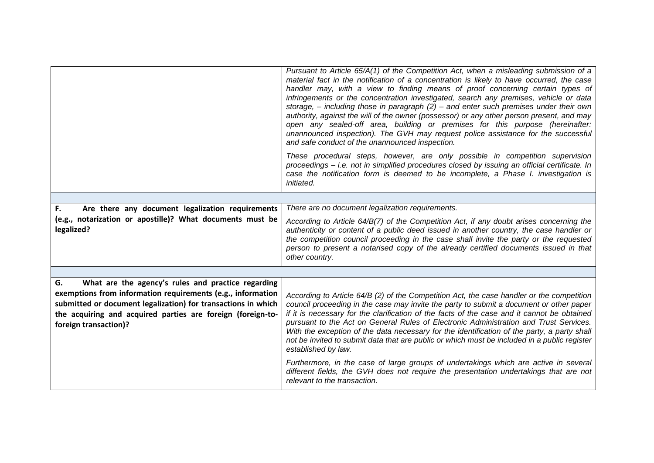|                                                                                                                                                                                                                                                                                  | Pursuant to Article 65/A(1) of the Competition Act, when a misleading submission of a<br>material fact in the notification of a concentration is likely to have occurred, the case<br>handler may, with a view to finding means of proof concerning certain types of<br>infringements or the concentration investigated, search any premises, vehicle or data<br>storage, $-$ including those in paragraph $(2)$ – and enter such premises under their own<br>authority, against the will of the owner (possessor) or any other person present, and may<br>open any sealed-off area, building or premises for this purpose (hereinafter:<br>unannounced inspection). The GVH may request police assistance for the successful<br>and safe conduct of the unannounced inspection.<br>These procedural steps, however, are only possible in competition supervision<br>proceedings - i.e. not in simplified procedures closed by issuing an official certificate. In<br>case the notification form is deemed to be incomplete, a Phase I. investigation is<br>initiated. |
|----------------------------------------------------------------------------------------------------------------------------------------------------------------------------------------------------------------------------------------------------------------------------------|------------------------------------------------------------------------------------------------------------------------------------------------------------------------------------------------------------------------------------------------------------------------------------------------------------------------------------------------------------------------------------------------------------------------------------------------------------------------------------------------------------------------------------------------------------------------------------------------------------------------------------------------------------------------------------------------------------------------------------------------------------------------------------------------------------------------------------------------------------------------------------------------------------------------------------------------------------------------------------------------------------------------------------------------------------------------|
|                                                                                                                                                                                                                                                                                  |                                                                                                                                                                                                                                                                                                                                                                                                                                                                                                                                                                                                                                                                                                                                                                                                                                                                                                                                                                                                                                                                        |
| Are there any document legalization requirements<br>F.                                                                                                                                                                                                                           | There are no document legalization requirements.                                                                                                                                                                                                                                                                                                                                                                                                                                                                                                                                                                                                                                                                                                                                                                                                                                                                                                                                                                                                                       |
| (e.g., notarization or apostille)? What documents must be<br>legalized?                                                                                                                                                                                                          | According to Article 64/B(7) of the Competition Act, if any doubt arises concerning the<br>authenticity or content of a public deed issued in another country, the case handler or<br>the competition council proceeding in the case shall invite the party or the requested<br>person to present a notarised copy of the already certified documents issued in that<br>other country.                                                                                                                                                                                                                                                                                                                                                                                                                                                                                                                                                                                                                                                                                 |
|                                                                                                                                                                                                                                                                                  |                                                                                                                                                                                                                                                                                                                                                                                                                                                                                                                                                                                                                                                                                                                                                                                                                                                                                                                                                                                                                                                                        |
| What are the agency's rules and practice regarding<br>G.<br>exemptions from information requirements (e.g., information<br>submitted or document legalization) for transactions in which<br>the acquiring and acquired parties are foreign (foreign-to-<br>foreign transaction)? | According to Article 64/B (2) of the Competition Act, the case handler or the competition<br>council proceeding in the case may invite the party to submit a document or other paper<br>if it is necessary for the clarification of the facts of the case and it cannot be obtained<br>pursuant to the Act on General Rules of Electronic Administration and Trust Services.<br>With the exception of the data necessary for the identification of the party, a party shall<br>not be invited to submit data that are public or which must be included in a public register<br>established by law.<br>Furthermore, in the case of large groups of undertakings which are active in several<br>different fields, the GVH does not require the presentation undertakings that are not<br>relevant to the transaction.                                                                                                                                                                                                                                                    |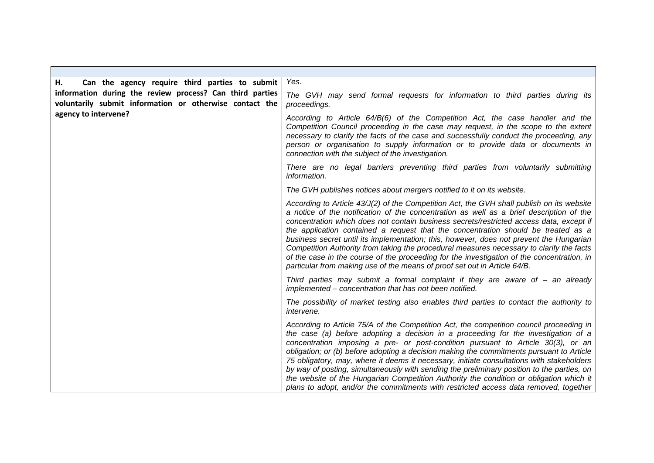| Can the agency require third parties to submit<br>Н.                                                                | Yes.                                                                                                                                                                                                                                                                                                                                                                                                                                                                                                                                                                                                                                                                                                                                        |
|---------------------------------------------------------------------------------------------------------------------|---------------------------------------------------------------------------------------------------------------------------------------------------------------------------------------------------------------------------------------------------------------------------------------------------------------------------------------------------------------------------------------------------------------------------------------------------------------------------------------------------------------------------------------------------------------------------------------------------------------------------------------------------------------------------------------------------------------------------------------------|
| information during the review process? Can third parties<br>voluntarily submit information or otherwise contact the | The GVH may send formal requests for information to third parties during its<br>proceedings.                                                                                                                                                                                                                                                                                                                                                                                                                                                                                                                                                                                                                                                |
| agency to intervene?                                                                                                | According to Article 64/B(6) of the Competition Act, the case handler and the<br>Competition Council proceeding in the case may request, in the scope to the extent<br>necessary to clarify the facts of the case and successfully conduct the proceeding, any<br>person or organisation to supply information or to provide data or documents in<br>connection with the subject of the investigation.                                                                                                                                                                                                                                                                                                                                      |
|                                                                                                                     | There are no legal barriers preventing third parties from voluntarily submitting<br>information.                                                                                                                                                                                                                                                                                                                                                                                                                                                                                                                                                                                                                                            |
|                                                                                                                     | The GVH publishes notices about mergers notified to it on its website.                                                                                                                                                                                                                                                                                                                                                                                                                                                                                                                                                                                                                                                                      |
|                                                                                                                     | According to Article 43/J(2) of the Competition Act, the GVH shall publish on its website<br>a notice of the notification of the concentration as well as a brief description of the<br>concentration which does not contain business secrets/restricted access data, except if<br>the application contained a request that the concentration should be treated as a<br>business secret until its implementation; this, however, does not prevent the Hungarian<br>Competition Authority from taking the procedural measures necessary to clarify the facts<br>of the case in the course of the proceeding for the investigation of the concentration, in<br>particular from making use of the means of proof set out in Article 64/B.      |
|                                                                                                                     | Third parties may submit a formal complaint if they are aware of $-$ an already<br>implemented - concentration that has not been notified.                                                                                                                                                                                                                                                                                                                                                                                                                                                                                                                                                                                                  |
|                                                                                                                     | The possibility of market testing also enables third parties to contact the authority to<br><i>intervene.</i>                                                                                                                                                                                                                                                                                                                                                                                                                                                                                                                                                                                                                               |
|                                                                                                                     | According to Article 75/A of the Competition Act, the competition council proceeding in<br>the case (a) before adopting a decision in a proceeding for the investigation of a<br>concentration imposing a pre- or post-condition pursuant to Article 30(3), or an<br>obligation; or (b) before adopting a decision making the commitments pursuant to Article<br>75 obligatory, may, where it deems it necessary, initiate consultations with stakeholders<br>by way of posting, simultaneously with sending the preliminary position to the parties, on<br>the website of the Hungarian Competition Authority the condition or obligation which it<br>plans to adopt, and/or the commitments with restricted access data removed, together |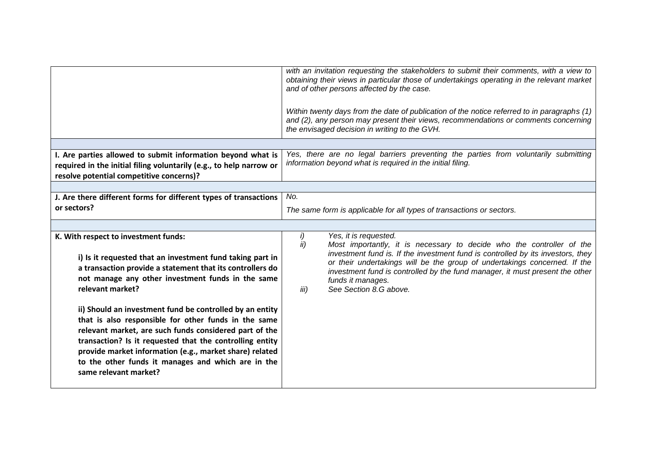|                                                                                                                                                                                                                                                                                                                                                                                  | with an invitation requesting the stakeholders to submit their comments, with a view to<br>obtaining their views in particular those of undertakings operating in the relevant market<br>and of other persons affected by the case.<br>Within twenty days from the date of publication of the notice referred to in paragraphs (1)<br>and (2), any person may present their views, recommendations or comments concerning<br>the envisaged decision in writing to the GVH. |
|----------------------------------------------------------------------------------------------------------------------------------------------------------------------------------------------------------------------------------------------------------------------------------------------------------------------------------------------------------------------------------|----------------------------------------------------------------------------------------------------------------------------------------------------------------------------------------------------------------------------------------------------------------------------------------------------------------------------------------------------------------------------------------------------------------------------------------------------------------------------|
| I. Are parties allowed to submit information beyond what is<br>required in the initial filing voluntarily (e.g., to help narrow or<br>resolve potential competitive concerns)?                                                                                                                                                                                                   | Yes, there are no legal barriers preventing the parties from voluntarily submitting<br>information beyond what is required in the initial filing.                                                                                                                                                                                                                                                                                                                          |
|                                                                                                                                                                                                                                                                                                                                                                                  |                                                                                                                                                                                                                                                                                                                                                                                                                                                                            |
| J. Are there different forms for different types of transactions                                                                                                                                                                                                                                                                                                                 | No.                                                                                                                                                                                                                                                                                                                                                                                                                                                                        |
| or sectors?                                                                                                                                                                                                                                                                                                                                                                      | The same form is applicable for all types of transactions or sectors.                                                                                                                                                                                                                                                                                                                                                                                                      |
|                                                                                                                                                                                                                                                                                                                                                                                  |                                                                                                                                                                                                                                                                                                                                                                                                                                                                            |
| K. With respect to investment funds:<br>i) Is it requested that an investment fund taking part in<br>a transaction provide a statement that its controllers do<br>not manage any other investment funds in the same<br>relevant market?                                                                                                                                          | i)<br>Yes, it is requested.<br>ii)<br>Most importantly, it is necessary to decide who the controller of the<br>investment fund is. If the investment fund is controlled by its investors, they<br>or their undertakings will be the group of undertakings concerned. If the<br>investment fund is controlled by the fund manager, it must present the other<br>funds it manages.<br>See Section 8.G above.<br>iii)                                                         |
| ii) Should an investment fund be controlled by an entity<br>that is also responsible for other funds in the same<br>relevant market, are such funds considered part of the<br>transaction? Is it requested that the controlling entity<br>provide market information (e.g., market share) related<br>to the other funds it manages and which are in the<br>same relevant market? |                                                                                                                                                                                                                                                                                                                                                                                                                                                                            |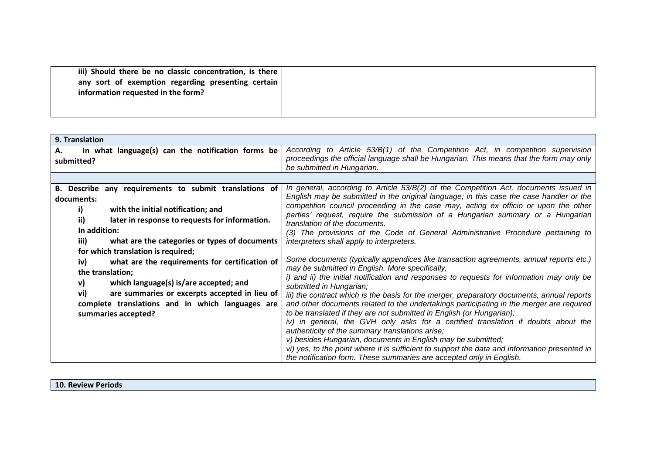| 9. Translation                                          |                                                                                                                                                                   |
|---------------------------------------------------------|-------------------------------------------------------------------------------------------------------------------------------------------------------------------|
| In what language(s) can the notification forms be<br>А. | According to Article 53/B(1) of the Competition Act, in competition supervision                                                                                   |
| submitted?                                              | proceedings the official language shall be Hungarian. This means that the form may only                                                                           |
|                                                         | be submitted in Hungarian.                                                                                                                                        |
|                                                         |                                                                                                                                                                   |
| B. Describe any requirements to submit translations of  | In general, according to Article 53/B(2) of the Competition Act, documents issued in                                                                              |
| documents:                                              | English may be submitted in the original language; in this case the case handler or the                                                                           |
| with the initial notification; and<br>i)                | competition council proceeding in the case may, acting ex officio or upon the other                                                                               |
| ii)<br>later in response to requests for information.   | parties' request, require the submission of a Hungarian summary or a Hungarian<br>translation of the documents.                                                   |
| In addition:                                            | (3) The provisions of the Code of General Administrative Procedure pertaining to                                                                                  |
| iii)<br>what are the categories or types of documents   | interpreters shall apply to interpreters.                                                                                                                         |
| for which translation is required;                      |                                                                                                                                                                   |
| iv)<br>what are the requirements for certification of   | Some documents (typically appendices like transaction agreements, annual reports etc.)                                                                            |
| the translation;                                        | may be submitted in English. More specifically,                                                                                                                   |
| which language(s) is/are accepted; and<br>v)            | i) and ii) the initial notification and responses to requests for information may only be                                                                         |
| vi)<br>are summaries or excerpts accepted in lieu of    | submitted in Hungarian;                                                                                                                                           |
|                                                         | iii) the contract which is the basis for the merger, preparatory documents, annual reports                                                                        |
| complete translations and in which languages are        | and other documents related to the undertakings participating in the merger are required<br>to be translated if they are not submitted in English (or Hungarian); |
| summaries accepted?                                     | iv) in general, the GVH only asks for a certified translation if doubts about the                                                                                 |
|                                                         | authenticity of the summary translations arise;                                                                                                                   |
|                                                         | v) besides Hungarian, documents in English may be submitted;                                                                                                      |
|                                                         | vi) yes, to the point where it is sufficient to support the data and information presented in                                                                     |
|                                                         | the notification form. These summaries are accepted only in English.                                                                                              |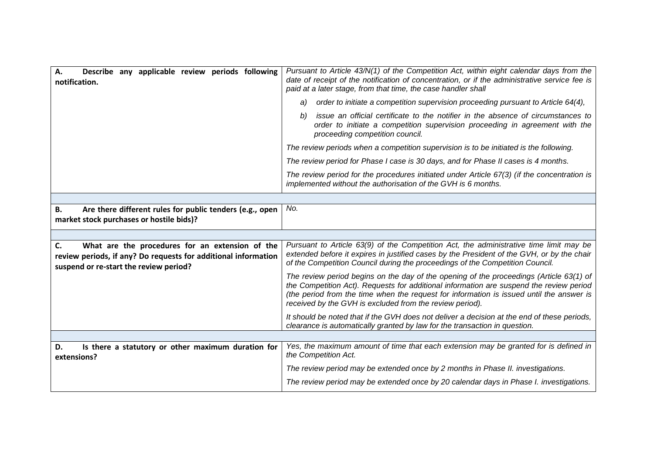| Describe any applicable review periods following<br>Α.<br>notification.                                                 | Pursuant to Article 43/N(1) of the Competition Act, within eight calendar days from the<br>date of receipt of the notification of concentration, or if the administrative service fee is<br>paid at a later stage, from that time, the case handler shall                                                                                  |
|-------------------------------------------------------------------------------------------------------------------------|--------------------------------------------------------------------------------------------------------------------------------------------------------------------------------------------------------------------------------------------------------------------------------------------------------------------------------------------|
|                                                                                                                         | order to initiate a competition supervision proceeding pursuant to Article 64(4),<br>a)                                                                                                                                                                                                                                                    |
|                                                                                                                         | issue an official certificate to the notifier in the absence of circumstances to<br>b)<br>order to initiate a competition supervision proceeding in agreement with the<br>proceeding competition council.                                                                                                                                  |
|                                                                                                                         | The review periods when a competition supervision is to be initiated is the following.                                                                                                                                                                                                                                                     |
|                                                                                                                         | The review period for Phase I case is 30 days, and for Phase II cases is 4 months.                                                                                                                                                                                                                                                         |
|                                                                                                                         | The review period for the procedures initiated under Article 67(3) (if the concentration is<br>implemented without the authorisation of the GVH is 6 months.                                                                                                                                                                               |
|                                                                                                                         |                                                                                                                                                                                                                                                                                                                                            |
| Are there different rules for public tenders (e.g., open<br>В.<br>market stock purchases or hostile bids)?              | No.                                                                                                                                                                                                                                                                                                                                        |
|                                                                                                                         |                                                                                                                                                                                                                                                                                                                                            |
|                                                                                                                         |                                                                                                                                                                                                                                                                                                                                            |
| What are the procedures for an extension of the<br>C.<br>review periods, if any? Do requests for additional information | Pursuant to Article 63(9) of the Competition Act, the administrative time limit may be<br>extended before it expires in justified cases by the President of the GVH, or by the chair<br>of the Competition Council during the proceedings of the Competition Council.                                                                      |
| suspend or re-start the review period?                                                                                  | The review period begins on the day of the opening of the proceedings (Article 63(1) of<br>the Competition Act). Requests for additional information are suspend the review period<br>(the period from the time when the request for information is issued until the answer is<br>received by the GVH is excluded from the review period). |
|                                                                                                                         | It should be noted that if the GVH does not deliver a decision at the end of these periods,<br>clearance is automatically granted by law for the transaction in question.                                                                                                                                                                  |
|                                                                                                                         |                                                                                                                                                                                                                                                                                                                                            |
| Is there a statutory or other maximum duration for<br>D.<br>extensions?                                                 | Yes, the maximum amount of time that each extension may be granted for is defined in<br>the Competition Act.                                                                                                                                                                                                                               |
|                                                                                                                         | The review period may be extended once by 2 months in Phase II. investigations.                                                                                                                                                                                                                                                            |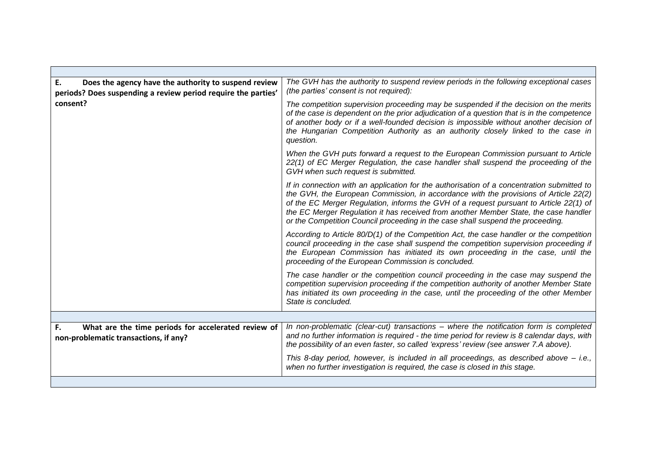| Does the agency have the authority to suspend review<br>Ε.<br>periods? Does suspending a review period require the parties' | The GVH has the authority to suspend review periods in the following exceptional cases<br>(the parties' consent is not required):                                                                                                                                                                                                                                                                                                                       |
|-----------------------------------------------------------------------------------------------------------------------------|---------------------------------------------------------------------------------------------------------------------------------------------------------------------------------------------------------------------------------------------------------------------------------------------------------------------------------------------------------------------------------------------------------------------------------------------------------|
| consent?                                                                                                                    | The competition supervision proceeding may be suspended if the decision on the merits<br>of the case is dependent on the prior adjudication of a question that is in the competence<br>of another body or if a well-founded decision is impossible without another decision of<br>the Hungarian Competition Authority as an authority closely linked to the case in<br>question.                                                                        |
|                                                                                                                             | When the GVH puts forward a request to the European Commission pursuant to Article<br>22(1) of EC Merger Regulation, the case handler shall suspend the proceeding of the<br>GVH when such request is submitted.                                                                                                                                                                                                                                        |
|                                                                                                                             | If in connection with an application for the authorisation of a concentration submitted to<br>the GVH, the European Commission, in accordance with the provisions of Article 22(2)<br>of the EC Merger Regulation, informs the GVH of a request pursuant to Article 22(1) of<br>the EC Merger Regulation it has received from another Member State, the case handler<br>or the Competition Council proceeding in the case shall suspend the proceeding. |
|                                                                                                                             | According to Article $80/D(1)$ of the Competition Act, the case handler or the competition<br>council proceeding in the case shall suspend the competition supervision proceeding if<br>the European Commission has initiated its own proceeding in the case, until the<br>proceeding of the European Commission is concluded.                                                                                                                          |
|                                                                                                                             | The case handler or the competition council proceeding in the case may suspend the<br>competition supervision proceeding if the competition authority of another Member State<br>has initiated its own proceeding in the case, until the proceeding of the other Member<br>State is concluded.                                                                                                                                                          |
|                                                                                                                             |                                                                                                                                                                                                                                                                                                                                                                                                                                                         |
| What are the time periods for accelerated review of<br>F.<br>non-problematic transactions, if any?                          | In non-problematic (clear-cut) transactions - where the notification form is completed<br>and no further information is required - the time period for review is 8 calendar days, with<br>the possibility of an even faster, so called 'express' review (see answer 7.A above).                                                                                                                                                                         |
|                                                                                                                             | This 8-day period, however, is included in all proceedings, as described above - i.e.,<br>when no further investigation is required, the case is closed in this stage.                                                                                                                                                                                                                                                                                  |
|                                                                                                                             |                                                                                                                                                                                                                                                                                                                                                                                                                                                         |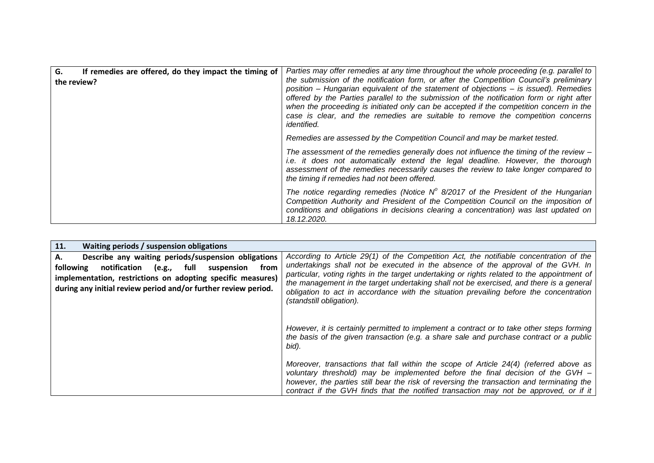| G.<br>If remedies are offered, do they impact the timing of<br>the review? | Parties may offer remedies at any time throughout the whole proceeding (e.g. parallel to<br>the submission of the notification form, or after the Competition Council's preliminary<br>position – Hungarian equivalent of the statement of objections – is issued). Remedies<br>offered by the Parties parallel to the submission of the notification form or right after<br>when the proceeding is initiated only can be accepted if the competition concern in the<br>case is clear, and the remedies are suitable to remove the competition concerns<br><i>identified.</i> |
|----------------------------------------------------------------------------|-------------------------------------------------------------------------------------------------------------------------------------------------------------------------------------------------------------------------------------------------------------------------------------------------------------------------------------------------------------------------------------------------------------------------------------------------------------------------------------------------------------------------------------------------------------------------------|
|                                                                            | Remedies are assessed by the Competition Council and may be market tested.                                                                                                                                                                                                                                                                                                                                                                                                                                                                                                    |
|                                                                            | The assessment of the remedies generally does not influence the timing of the review $-$<br><i>i.e.</i> it does not automatically extend the legal deadline. However, the thorough<br>assessment of the remedies necessarily causes the review to take longer compared to<br>the timing if remedies had not been offered.                                                                                                                                                                                                                                                     |
|                                                                            | The notice regarding remedies (Notice $N^{\circ}$ 8/2017 of the President of the Hungarian<br>Competition Authority and President of the Competition Council on the imposition of<br>conditions and obligations in decisions clearing a concentration) was last updated on<br>18.12.2020.                                                                                                                                                                                                                                                                                     |

| 11.<br>Waiting periods / suspension obligations                                                                                                                                                                                                                 |                                                                                                                                                                                                                                                                                                                                                                                                                                                                                            |
|-----------------------------------------------------------------------------------------------------------------------------------------------------------------------------------------------------------------------------------------------------------------|--------------------------------------------------------------------------------------------------------------------------------------------------------------------------------------------------------------------------------------------------------------------------------------------------------------------------------------------------------------------------------------------------------------------------------------------------------------------------------------------|
| Describe any waiting periods/suspension obligations<br>А.<br>notification<br>following<br>full<br>from<br>suspension<br>(e.g.,<br>implementation, restrictions on adopting specific measures)<br>during any initial review period and/or further review period. | According to Article 29(1) of the Competition Act, the notifiable concentration of the<br>undertakings shall not be executed in the absence of the approval of the GVH. In<br>particular, voting rights in the target undertaking or rights related to the appointment of<br>the management in the target undertaking shall not be exercised, and there is a general<br>obligation to act in accordance with the situation prevailing before the concentration<br>(standstill obligation). |
|                                                                                                                                                                                                                                                                 | However, it is certainly permitted to implement a contract or to take other steps forming<br>the basis of the given transaction (e.g. a share sale and purchase contract or a public<br>bid).                                                                                                                                                                                                                                                                                              |
|                                                                                                                                                                                                                                                                 | Moreover, transactions that fall within the scope of Article 24(4) (referred above as<br>voluntary threshold) may be implemented before the final decision of the GVH $-$<br>however, the parties still bear the risk of reversing the transaction and terminating the<br>contract if the GVH finds that the notified transaction may not be approved, or if it                                                                                                                            |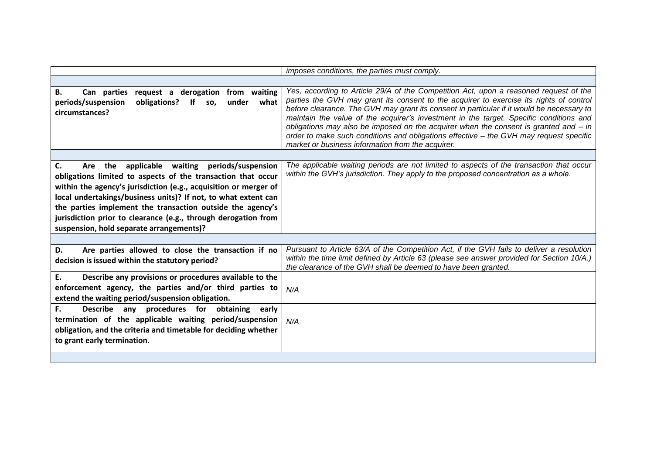|                                                                                                                                                                                                                                                                                                                                                                                                                                       | imposes conditions, the parties must comply.                                                                                                                                                                                                                                                                                                                                                                                                                                                                                                                                                                     |
|---------------------------------------------------------------------------------------------------------------------------------------------------------------------------------------------------------------------------------------------------------------------------------------------------------------------------------------------------------------------------------------------------------------------------------------|------------------------------------------------------------------------------------------------------------------------------------------------------------------------------------------------------------------------------------------------------------------------------------------------------------------------------------------------------------------------------------------------------------------------------------------------------------------------------------------------------------------------------------------------------------------------------------------------------------------|
|                                                                                                                                                                                                                                                                                                                                                                                                                                       |                                                                                                                                                                                                                                                                                                                                                                                                                                                                                                                                                                                                                  |
| В.<br>Can parties request a derogation from waiting<br>periods/suspension<br>obligations?<br>If<br>under<br>what<br>SO.<br>circumstances?                                                                                                                                                                                                                                                                                             | Yes, according to Article 29/A of the Competition Act, upon a reasoned request of the<br>parties the GVH may grant its consent to the acquirer to exercise its rights of control<br>before clearance. The GVH may grant its consent in particular if it would be necessary to<br>maintain the value of the acquirer's investment in the target. Specific conditions and<br>obligations may also be imposed on the acquirer when the consent is granted and $-$ in<br>order to make such conditions and obligations effective - the GVH may request specific<br>market or business information from the acquirer. |
|                                                                                                                                                                                                                                                                                                                                                                                                                                       |                                                                                                                                                                                                                                                                                                                                                                                                                                                                                                                                                                                                                  |
| Are the applicable waiting periods/suspension<br>C.<br>obligations limited to aspects of the transaction that occur<br>within the agency's jurisdiction (e.g., acquisition or merger of<br>local undertakings/business units)? If not, to what extent can<br>the parties implement the transaction outside the agency's<br>jurisdiction prior to clearance (e.g., through derogation from<br>suspension, hold separate arrangements)? | The applicable waiting periods are not limited to aspects of the transaction that occur<br>within the GVH's jurisdiction. They apply to the proposed concentration as a whole.                                                                                                                                                                                                                                                                                                                                                                                                                                   |
|                                                                                                                                                                                                                                                                                                                                                                                                                                       |                                                                                                                                                                                                                                                                                                                                                                                                                                                                                                                                                                                                                  |
| Are parties allowed to close the transaction if no<br>D.<br>decision is issued within the statutory period?                                                                                                                                                                                                                                                                                                                           | Pursuant to Article 63/A of the Competition Act, if the GVH fails to deliver a resolution<br>within the time limit defined by Article 63 (please see answer provided for Section 10/A.)<br>the clearance of the GVH shall be deemed to have been granted.                                                                                                                                                                                                                                                                                                                                                        |
| E.<br>Describe any provisions or procedures available to the                                                                                                                                                                                                                                                                                                                                                                          |                                                                                                                                                                                                                                                                                                                                                                                                                                                                                                                                                                                                                  |
| enforcement agency, the parties and/or third parties to<br>extend the waiting period/suspension obligation.                                                                                                                                                                                                                                                                                                                           | N/A                                                                                                                                                                                                                                                                                                                                                                                                                                                                                                                                                                                                              |
| F.<br>Describe any procedures for obtaining early                                                                                                                                                                                                                                                                                                                                                                                     |                                                                                                                                                                                                                                                                                                                                                                                                                                                                                                                                                                                                                  |
| termination of the applicable waiting period/suspension                                                                                                                                                                                                                                                                                                                                                                               | N/A                                                                                                                                                                                                                                                                                                                                                                                                                                                                                                                                                                                                              |
| obligation, and the criteria and timetable for deciding whether<br>to grant early termination.                                                                                                                                                                                                                                                                                                                                        |                                                                                                                                                                                                                                                                                                                                                                                                                                                                                                                                                                                                                  |
|                                                                                                                                                                                                                                                                                                                                                                                                                                       |                                                                                                                                                                                                                                                                                                                                                                                                                                                                                                                                                                                                                  |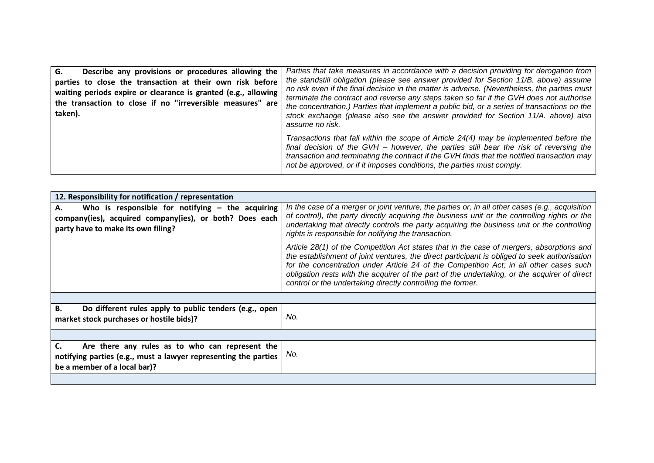| G.<br>Describe any provisions or procedures allowing the<br>parties to close the transaction at their own risk before<br>waiting periods expire or clearance is granted (e.g., allowing<br>the transaction to close if no "irreversible measures" are<br>taken). | Parties that take measures in accordance with a decision providing for derogation from<br>the standstill obligation (please see answer provided for Section 11/B. above) assume<br>no risk even if the final decision in the matter is adverse. (Nevertheless, the parties must<br>terminate the contract and reverse any steps taken so far if the GVH does not authorise<br>the concentration.) Parties that implement a public bid, or a series of transactions on the<br>stock exchange (please also see the answer provided for Section 11/A. above) also<br>assume no risk. |
|------------------------------------------------------------------------------------------------------------------------------------------------------------------------------------------------------------------------------------------------------------------|-----------------------------------------------------------------------------------------------------------------------------------------------------------------------------------------------------------------------------------------------------------------------------------------------------------------------------------------------------------------------------------------------------------------------------------------------------------------------------------------------------------------------------------------------------------------------------------|
|                                                                                                                                                                                                                                                                  | Transactions that fall within the scope of Article 24(4) may be implemented before the<br>final decision of the GVH - however, the parties still bear the risk of reversing the<br>transaction and terminating the contract if the GVH finds that the notified transaction may<br>not be approved, or if it imposes conditions, the parties must comply.                                                                                                                                                                                                                          |

| 12. Responsibility for notification / representation                                                                                                      |                                                                                                                                                                                                                                                                                                                                                                                                                                                   |  |
|-----------------------------------------------------------------------------------------------------------------------------------------------------------|---------------------------------------------------------------------------------------------------------------------------------------------------------------------------------------------------------------------------------------------------------------------------------------------------------------------------------------------------------------------------------------------------------------------------------------------------|--|
| Who is responsible for notifying $-$ the acquiring<br>А.<br>company(ies), acquired company(ies), or both? Does each<br>party have to make its own filing? | In the case of a merger or joint venture, the parties or, in all other cases (e.g., acquisition<br>of control), the party directly acquiring the business unit or the controlling rights or the<br>undertaking that directly controls the party acquiring the business unit or the controlling<br>rights is responsible for notifying the transaction.                                                                                            |  |
|                                                                                                                                                           | Article 28(1) of the Competition Act states that in the case of mergers, absorptions and<br>the establishment of joint ventures, the direct participant is obliged to seek authorisation<br>for the concentration under Article 24 of the Competition Act; in all other cases such<br>obligation rests with the acquirer of the part of the undertaking, or the acquirer of direct<br>control or the undertaking directly controlling the former. |  |
|                                                                                                                                                           |                                                                                                                                                                                                                                                                                                                                                                                                                                                   |  |
| Do different rules apply to public tenders (e.g., open<br>В.<br>market stock purchases or hostile bids)?                                                  | No.                                                                                                                                                                                                                                                                                                                                                                                                                                               |  |
|                                                                                                                                                           |                                                                                                                                                                                                                                                                                                                                                                                                                                                   |  |
| Are there any rules as to who can represent the<br>notifying parties (e.g., must a lawyer representing the parties<br>be a member of a local bar)?        | No.                                                                                                                                                                                                                                                                                                                                                                                                                                               |  |
|                                                                                                                                                           |                                                                                                                                                                                                                                                                                                                                                                                                                                                   |  |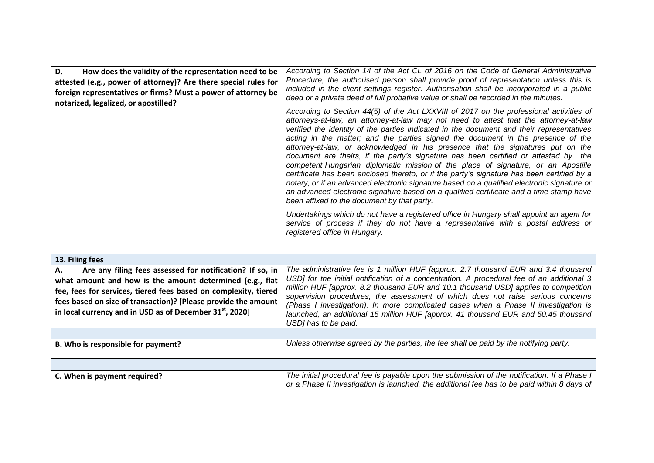| D.<br>How does the validity of the representation need to be<br>attested (e.g., power of attorney)? Are there special rules for<br>foreign representatives or firms? Must a power of attorney be<br>notarized, legalized, or apostilled? | According to Section 14 of the Act CL of 2016 on the Code of General Administrative<br>Procedure, the authorised person shall provide proof of representation unless this is<br>included in the client settings register. Authorisation shall be incorporated in a public<br>deed or a private deed of full probative value or shall be recorded in the minutes.                                                                                                                                                                                                                                                                                                                                                                                                                                                                                                                                                                                                      |
|------------------------------------------------------------------------------------------------------------------------------------------------------------------------------------------------------------------------------------------|-----------------------------------------------------------------------------------------------------------------------------------------------------------------------------------------------------------------------------------------------------------------------------------------------------------------------------------------------------------------------------------------------------------------------------------------------------------------------------------------------------------------------------------------------------------------------------------------------------------------------------------------------------------------------------------------------------------------------------------------------------------------------------------------------------------------------------------------------------------------------------------------------------------------------------------------------------------------------|
|                                                                                                                                                                                                                                          | According to Section 44(5) of the Act LXXVIII of 2017 on the professional activities of<br>attorneys-at-law, an attorney-at-law may not need to attest that the attorney-at-law<br>verified the identity of the parties indicated in the document and their representatives<br>acting in the matter; and the parties signed the document in the presence of the<br>attorney-at-law, or acknowledged in his presence that the signatures put on the<br>document are theirs, if the party's signature has been certified or attested by the<br>competent Hungarian diplomatic mission of the place of signature, or an Apostille<br>certificate has been enclosed thereto, or if the party's signature has been certified by a<br>notary, or if an advanced electronic signature based on a qualified electronic signature or<br>an advanced electronic signature based on a qualified certificate and a time stamp have<br>been affixed to the document by that party. |
|                                                                                                                                                                                                                                          | Undertakings which do not have a registered office in Hungary shall appoint an agent for<br>service of process if they do not have a representative with a postal address or<br>registered office in Hungary.                                                                                                                                                                                                                                                                                                                                                                                                                                                                                                                                                                                                                                                                                                                                                         |

| 13. Filing fees                                                                                                                                                                                                                                                                                                                         |                                                                                                                                                                                                                                                                                                                                                                                                                                                                                                                                                                |  |
|-----------------------------------------------------------------------------------------------------------------------------------------------------------------------------------------------------------------------------------------------------------------------------------------------------------------------------------------|----------------------------------------------------------------------------------------------------------------------------------------------------------------------------------------------------------------------------------------------------------------------------------------------------------------------------------------------------------------------------------------------------------------------------------------------------------------------------------------------------------------------------------------------------------------|--|
| Are any filing fees assessed for notification? If so, in<br>А.<br>what amount and how is the amount determined (e.g., flat<br>fee, fees for services, tiered fees based on complexity, tiered<br>fees based on size of transaction)? [Please provide the amount<br>in local currency and in USD as of December 31 <sup>st</sup> , 2020] | The administrative fee is 1 million HUF [approx. 2.7 thousand EUR and 3.4 thousand<br>USD] for the initial notification of a concentration. A procedural fee of an additional 3<br>million HUF [approx. 8.2 thousand EUR and 10.1 thousand USD] applies to competition<br>supervision procedures, the assessment of which does not raise serious concerns<br>(Phase I investigation). In more complicated cases when a Phase II investigation is<br>launched, an additional 15 million HUF [approx. 41 thousand EUR and 50.45 thousand<br>USD] has to be paid. |  |
|                                                                                                                                                                                                                                                                                                                                         |                                                                                                                                                                                                                                                                                                                                                                                                                                                                                                                                                                |  |
| B. Who is responsible for payment?                                                                                                                                                                                                                                                                                                      | Unless otherwise agreed by the parties, the fee shall be paid by the notifying party.                                                                                                                                                                                                                                                                                                                                                                                                                                                                          |  |
|                                                                                                                                                                                                                                                                                                                                         |                                                                                                                                                                                                                                                                                                                                                                                                                                                                                                                                                                |  |
| C. When is payment required?                                                                                                                                                                                                                                                                                                            | The initial procedural fee is payable upon the submission of the notification. If a Phase I<br>or a Phase II investigation is launched, the additional fee has to be paid within 8 days of                                                                                                                                                                                                                                                                                                                                                                     |  |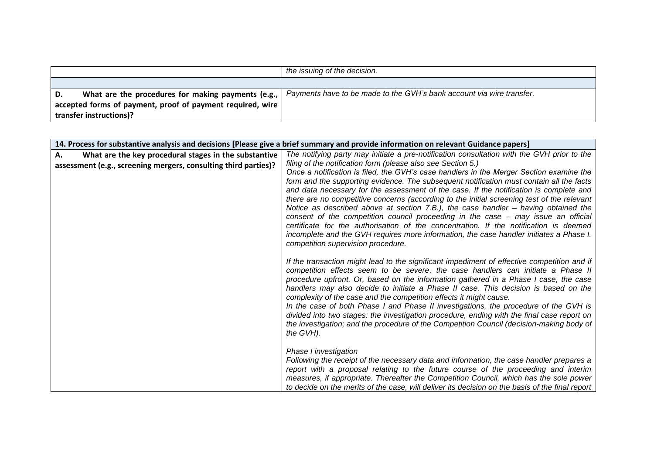|     |                                                                            | the issuing of the decision.                                          |
|-----|----------------------------------------------------------------------------|-----------------------------------------------------------------------|
|     |                                                                            |                                                                       |
| ID. | What are the procedures for making payments (e.g.,                         | Payments have to be made to the GVH's bank account via wire transfer. |
|     | $\vert$ accepted forms of payment, proof of payment required, wire $\vert$ |                                                                       |
|     | transfer instructions)?                                                    |                                                                       |

| 14. Process for substantive analysis and decisions [Please give a brief summary and provide information on relevant Guidance papers] |                                                                                                                                                                              |
|--------------------------------------------------------------------------------------------------------------------------------------|------------------------------------------------------------------------------------------------------------------------------------------------------------------------------|
| What are the key procedural stages in the substantive<br>А.                                                                          | The notifying party may initiate a pre-notification consultation with the GVH prior to the                                                                                   |
| assessment (e.g., screening mergers, consulting third parties)?                                                                      | filing of the notification form (please also see Section 5.)                                                                                                                 |
|                                                                                                                                      | Once a notification is filed, the GVH's case handlers in the Merger Section examine the                                                                                      |
|                                                                                                                                      | form and the supporting evidence. The subsequent notification must contain all the facts                                                                                     |
|                                                                                                                                      | and data necessary for the assessment of the case. If the notification is complete and                                                                                       |
|                                                                                                                                      | there are no competitive concerns (according to the initial screening test of the relevant                                                                                   |
|                                                                                                                                      | Notice as described above at section 7.B.), the case handler - having obtained the<br>consent of the competition council proceeding in the case – may issue an official      |
|                                                                                                                                      | certificate for the authorisation of the concentration. If the notification is deemed                                                                                        |
|                                                                                                                                      | incomplete and the GVH requires more information, the case handler initiates a Phase I.                                                                                      |
|                                                                                                                                      | competition supervision procedure.                                                                                                                                           |
|                                                                                                                                      |                                                                                                                                                                              |
|                                                                                                                                      | If the transaction might lead to the significant impediment of effective competition and if                                                                                  |
|                                                                                                                                      | competition effects seem to be severe, the case handlers can initiate a Phase II                                                                                             |
|                                                                                                                                      | procedure upfront. Or, based on the information gathered in a Phase I case, the case<br>handlers may also decide to initiate a Phase II case. This decision is based on the  |
|                                                                                                                                      | complexity of the case and the competition effects it might cause.                                                                                                           |
|                                                                                                                                      | In the case of both Phase I and Phase II investigations, the procedure of the GVH is                                                                                         |
|                                                                                                                                      | divided into two stages: the investigation procedure, ending with the final case report on                                                                                   |
|                                                                                                                                      | the investigation; and the procedure of the Competition Council (decision-making body of                                                                                     |
|                                                                                                                                      | the GVH).                                                                                                                                                                    |
|                                                                                                                                      |                                                                                                                                                                              |
|                                                                                                                                      | Phase I investigation                                                                                                                                                        |
|                                                                                                                                      | Following the receipt of the necessary data and information, the case handler prepares a                                                                                     |
|                                                                                                                                      | report with a proposal relating to the future course of the proceeding and interim<br>measures, if appropriate. Thereafter the Competition Council, which has the sole power |
|                                                                                                                                      | to decide on the merits of the case, will deliver its decision on the basis of the final report                                                                              |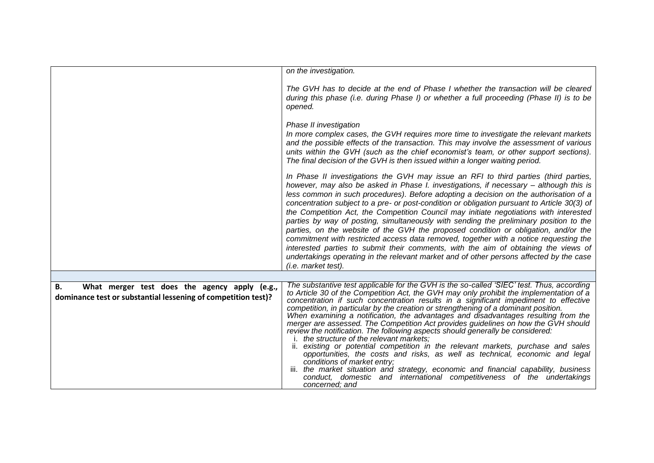|                                                                                                                      | on the investigation.                                                                                                                                                                                                                                                                                                                                                                                                                                                                                                                                                                                                                                                                                                                                                                                                                                                                                                                                                                                                                                                  |
|----------------------------------------------------------------------------------------------------------------------|------------------------------------------------------------------------------------------------------------------------------------------------------------------------------------------------------------------------------------------------------------------------------------------------------------------------------------------------------------------------------------------------------------------------------------------------------------------------------------------------------------------------------------------------------------------------------------------------------------------------------------------------------------------------------------------------------------------------------------------------------------------------------------------------------------------------------------------------------------------------------------------------------------------------------------------------------------------------------------------------------------------------------------------------------------------------|
|                                                                                                                      | The GVH has to decide at the end of Phase I whether the transaction will be cleared                                                                                                                                                                                                                                                                                                                                                                                                                                                                                                                                                                                                                                                                                                                                                                                                                                                                                                                                                                                    |
|                                                                                                                      | during this phase (i.e. during Phase I) or whether a full proceeding (Phase II) is to be<br>opened.                                                                                                                                                                                                                                                                                                                                                                                                                                                                                                                                                                                                                                                                                                                                                                                                                                                                                                                                                                    |
|                                                                                                                      | Phase II investigation<br>In more complex cases, the GVH requires more time to investigate the relevant markets<br>and the possible effects of the transaction. This may involve the assessment of various                                                                                                                                                                                                                                                                                                                                                                                                                                                                                                                                                                                                                                                                                                                                                                                                                                                             |
|                                                                                                                      | units within the GVH (such as the chief economist's team, or other support sections).<br>The final decision of the GVH is then issued within a longer waiting period.                                                                                                                                                                                                                                                                                                                                                                                                                                                                                                                                                                                                                                                                                                                                                                                                                                                                                                  |
|                                                                                                                      | In Phase II investigations the GVH may issue an RFI to third parties (third parties,<br>however, may also be asked in Phase I. investigations, if necessary – although this is<br>less common in such procedures). Before adopting a decision on the authorisation of a<br>concentration subject to a pre- or post-condition or obligation pursuant to Article 30(3) of<br>the Competition Act, the Competition Council may initiate negotiations with interested<br>parties by way of posting, simultaneously with sending the preliminary position to the<br>parties, on the website of the GVH the proposed condition or obligation, and/or the<br>commitment with restricted access data removed, together with a notice requesting the<br>interested parties to submit their comments, with the aim of obtaining the views of<br>undertakings operating in the relevant market and of other persons affected by the case<br>(i.e. market test).                                                                                                                   |
|                                                                                                                      |                                                                                                                                                                                                                                                                                                                                                                                                                                                                                                                                                                                                                                                                                                                                                                                                                                                                                                                                                                                                                                                                        |
| What merger test does the agency apply (e.g.,<br>В.<br>dominance test or substantial lessening of competition test)? | The substantive test applicable for the GVH is the so-called 'SIEC' test. Thus, according<br>to Article 30 of the Competition Act, the GVH may only prohibit the implementation of a<br>concentration if such concentration results in a significant impediment to effective<br>competition, in particular by the creation or strengthening of a dominant position.<br>When examining a notification, the advantages and disadvantages resulting from the<br>merger are assessed. The Competition Act provides guidelines on how the GVH should<br>review the notification. The following aspects should generally be considered:<br>i. the structure of the relevant markets;<br>ii. existing or potential competition in the relevant markets, purchase and sales<br>opportunities, the costs and risks, as well as technical, economic and legal<br>conditions of market entry;<br>iii. the market situation and strategy, economic and financial capability, business<br>conduct, domestic and international competitiveness of the undertakings<br>concerned; and |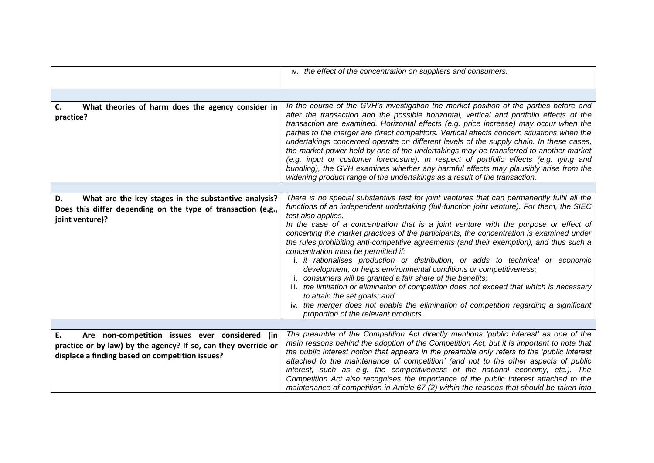|                                                                                                                                                                           | iv. the effect of the concentration on suppliers and consumers.                                                                                                                                                                                                                                                                                                                                                                                                                                                                                                                                                                                                                                                                                                                                                                                                                                                                                                                                                             |
|---------------------------------------------------------------------------------------------------------------------------------------------------------------------------|-----------------------------------------------------------------------------------------------------------------------------------------------------------------------------------------------------------------------------------------------------------------------------------------------------------------------------------------------------------------------------------------------------------------------------------------------------------------------------------------------------------------------------------------------------------------------------------------------------------------------------------------------------------------------------------------------------------------------------------------------------------------------------------------------------------------------------------------------------------------------------------------------------------------------------------------------------------------------------------------------------------------------------|
|                                                                                                                                                                           |                                                                                                                                                                                                                                                                                                                                                                                                                                                                                                                                                                                                                                                                                                                                                                                                                                                                                                                                                                                                                             |
| What theories of harm does the agency consider in<br>C.<br>practice?                                                                                                      | In the course of the GVH's investigation the market position of the parties before and<br>after the transaction and the possible horizontal, vertical and portfolio effects of the<br>transaction are examined. Horizontal effects (e.g. price increase) may occur when the<br>parties to the merger are direct competitors. Vertical effects concern situations when the<br>undertakings concerned operate on different levels of the supply chain. In these cases,<br>the market power held by one of the undertakings may be transferred to another market<br>(e.g. input or customer foreclosure). In respect of portfolio effects (e.g. tying and<br>bundling), the GVH examines whether any harmful effects may plausibly arise from the<br>widening product range of the undertakings as a result of the transaction.                                                                                                                                                                                                |
|                                                                                                                                                                           |                                                                                                                                                                                                                                                                                                                                                                                                                                                                                                                                                                                                                                                                                                                                                                                                                                                                                                                                                                                                                             |
| What are the key stages in the substantive analysis?<br>D.<br>Does this differ depending on the type of transaction (e.g.,<br>joint venture)?                             | There is no special substantive test for joint ventures that can permanently fulfil all the<br>functions of an independent undertaking (full-function joint venture). For them, the SIEC<br>test also applies.<br>In the case of a concentration that is a joint venture with the purpose or effect of<br>concerting the market practices of the participants, the concentration is examined under<br>the rules prohibiting anti-competitive agreements (and their exemption), and thus such a<br>concentration must be permitted if:<br>i. it rationalises production or distribution, or adds to technical or economic<br>development, or helps environmental conditions or competitiveness;<br>ii. consumers will be granted a fair share of the benefits;<br>iii. the limitation or elimination of competition does not exceed that which is necessary<br>to attain the set goals; and<br>iv. the merger does not enable the elimination of competition regarding a significant<br>proportion of the relevant products. |
|                                                                                                                                                                           |                                                                                                                                                                                                                                                                                                                                                                                                                                                                                                                                                                                                                                                                                                                                                                                                                                                                                                                                                                                                                             |
| E.<br>Are non-competition issues ever considered (in<br>practice or by law) by the agency? If so, can they override or<br>displace a finding based on competition issues? | The preamble of the Competition Act directly mentions 'public interest' as one of the<br>main reasons behind the adoption of the Competition Act, but it is important to note that<br>the public interest notion that appears in the preamble only refers to the 'public interest<br>attached to the maintenance of competition' (and not to the other aspects of public<br>interest, such as e.g. the competitiveness of the national economy, etc.). The<br>Competition Act also recognises the importance of the public interest attached to the<br>maintenance of competition in Article 67 (2) within the reasons that should be taken into                                                                                                                                                                                                                                                                                                                                                                            |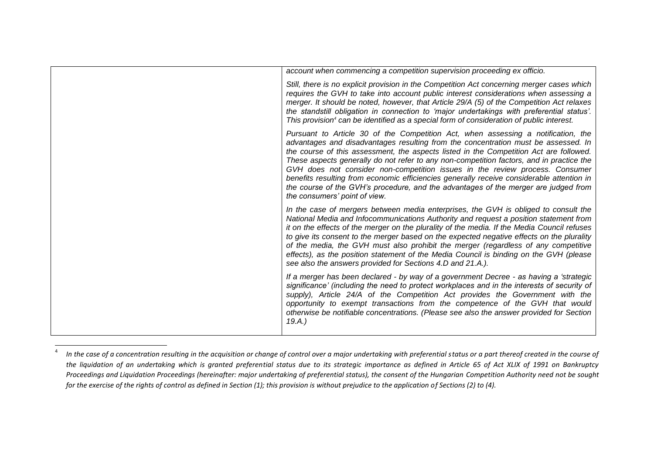| account when commencing a competition supervision proceeding ex officio.                                                                                                                                                                                                                                                                                                                                                                                                                                                                                                                                                                                           |
|--------------------------------------------------------------------------------------------------------------------------------------------------------------------------------------------------------------------------------------------------------------------------------------------------------------------------------------------------------------------------------------------------------------------------------------------------------------------------------------------------------------------------------------------------------------------------------------------------------------------------------------------------------------------|
| Still, there is no explicit provision in the Competition Act concerning merger cases which<br>requires the GVH to take into account public interest considerations when assessing a<br>merger. It should be noted, however, that Article 29/A (5) of the Competition Act relaxes<br>the standstill obligation in connection to 'major undertakings with preferential status'.<br>This provision <sup>4</sup> can be identified as a special form of consideration of public interest.                                                                                                                                                                              |
| Pursuant to Article 30 of the Competition Act, when assessing a notification, the<br>advantages and disadvantages resulting from the concentration must be assessed. In<br>the course of this assessment, the aspects listed in the Competition Act are followed.<br>These aspects generally do not refer to any non-competition factors, and in practice the<br>GVH does not consider non-competition issues in the review process. Consumer<br>benefits resulting from economic efficiencies generally receive considerable attention in<br>the course of the GVH's procedure, and the advantages of the merger are judged from<br>the consumers' point of view. |
| In the case of mergers between media enterprises, the GVH is obliged to consult the<br>National Media and Infocommunications Authority and request a position statement from<br>it on the effects of the merger on the plurality of the media. If the Media Council refuses<br>to give its consent to the merger based on the expected negative effects on the plurality<br>of the media, the GVH must also prohibit the merger (regardless of any competitive<br>effects), as the position statement of the Media Council is binding on the GVH (please<br>see also the answers provided for Sections 4.D and 21.A.).                                             |
| If a merger has been declared - by way of a government Decree - as having a 'strategic<br>significance' (including the need to protect workplaces and in the interests of security of<br>supply), Article 24/A of the Competition Act provides the Government with the<br>opportunity to exempt transactions from the competence of the GVH that would<br>otherwise be notifiable concentrations. (Please see also the answer provided for Section<br>19.A.)                                                                                                                                                                                                       |

<sup>4</sup> In the case of a concentration resulting in the acquisition or change of control over a major undertaking with preferential status or a part thereof created in the course of *the liquidation of an undertaking which is granted preferential status due to its strategic importance as defined in Article 65 of Act XLIX of 1991 on Bankruptcy Proceedings and Liquidation Proceedings (hereinafter: major undertaking of preferential status), the consent of the Hungarian Competition Authority need not be sought for the exercise of the rights of control as defined in Section (1); this provision is without prejudice to the application of Sections (2) to (4).*

 $\overline{\phantom{a}}$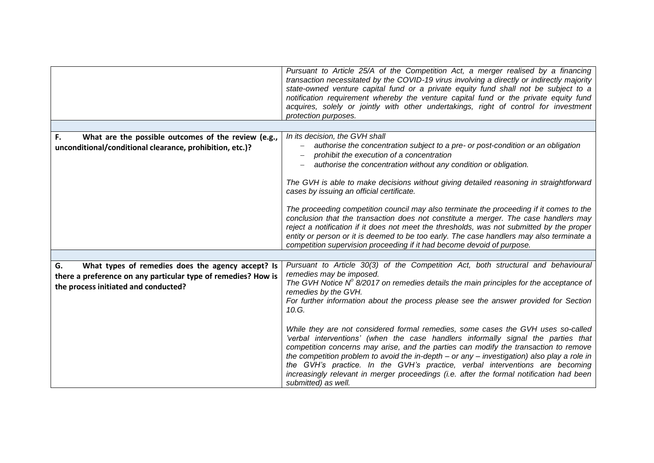|                                                                                                                                                                  | Pursuant to Article 25/A of the Competition Act, a merger realised by a financing<br>transaction necessitated by the COVID-19 virus involving a directly or indirectly majority<br>state-owned venture capital fund or a private equity fund shall not be subject to a<br>notification requirement whereby the venture capital fund or the private equity fund<br>acquires, solely or jointly with other undertakings, right of control for investment<br>protection purposes.                                                                                               |
|------------------------------------------------------------------------------------------------------------------------------------------------------------------|------------------------------------------------------------------------------------------------------------------------------------------------------------------------------------------------------------------------------------------------------------------------------------------------------------------------------------------------------------------------------------------------------------------------------------------------------------------------------------------------------------------------------------------------------------------------------|
|                                                                                                                                                                  |                                                                                                                                                                                                                                                                                                                                                                                                                                                                                                                                                                              |
| What are the possible outcomes of the review (e.g.,<br>F.                                                                                                        | In its decision, the GVH shall                                                                                                                                                                                                                                                                                                                                                                                                                                                                                                                                               |
| unconditional/conditional clearance, prohibition, etc.)?                                                                                                         | authorise the concentration subject to a pre- or post-condition or an obligation<br>prohibit the execution of a concentration                                                                                                                                                                                                                                                                                                                                                                                                                                                |
|                                                                                                                                                                  | authorise the concentration without any condition or obligation.                                                                                                                                                                                                                                                                                                                                                                                                                                                                                                             |
|                                                                                                                                                                  | The GVH is able to make decisions without giving detailed reasoning in straightforward<br>cases by issuing an official certificate.                                                                                                                                                                                                                                                                                                                                                                                                                                          |
|                                                                                                                                                                  | The proceeding competition council may also terminate the proceeding if it comes to the<br>conclusion that the transaction does not constitute a merger. The case handlers may<br>reject a notification if it does not meet the thresholds, was not submitted by the proper<br>entity or person or it is deemed to be too early. The case handlers may also terminate a<br>competition supervision proceeding if it had become devoid of purpose.                                                                                                                            |
|                                                                                                                                                                  |                                                                                                                                                                                                                                                                                                                                                                                                                                                                                                                                                                              |
| G.<br>What types of remedies does the agency accept? Is<br>there a preference on any particular type of remedies? How is<br>the process initiated and conducted? | Pursuant to Article 30(3) of the Competition Act, both structural and behavioural<br>remedies may be imposed.<br>The GVH Notice $N^{\circ}$ 8/2017 on remedies details the main principles for the acceptance of<br>remedies by the GVH.<br>For further information about the process please see the answer provided for Section                                                                                                                                                                                                                                             |
|                                                                                                                                                                  | 10.G.<br>While they are not considered formal remedies, some cases the GVH uses so-called<br>'verbal interventions' (when the case handlers informally signal the parties that<br>competition concerns may arise, and the parties can modify the transaction to remove<br>the competition problem to avoid the in-depth $-$ or any $-$ investigation) also play a role in<br>the GVH's practice. In the GVH's practice, verbal interventions are becoming<br>increasingly relevant in merger proceedings (i.e. after the formal notification had been<br>submitted) as well. |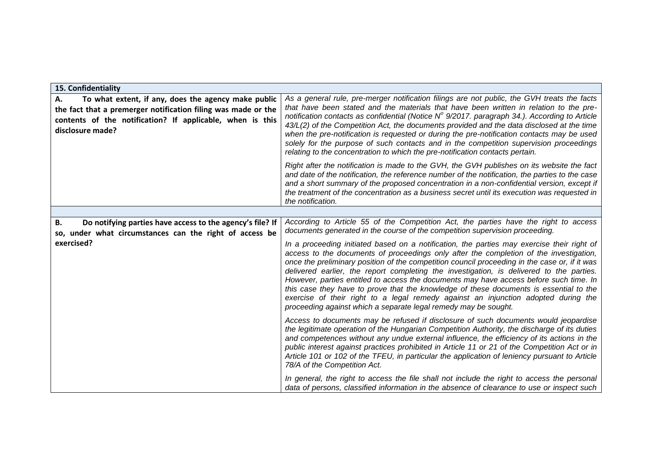| 15. Confidentiality                                                                                                                                                                                         |                                                                                                                                                                                                                                                                                                                                                                                                                                                                                                                                                                                                                                                                                                                                |
|-------------------------------------------------------------------------------------------------------------------------------------------------------------------------------------------------------------|--------------------------------------------------------------------------------------------------------------------------------------------------------------------------------------------------------------------------------------------------------------------------------------------------------------------------------------------------------------------------------------------------------------------------------------------------------------------------------------------------------------------------------------------------------------------------------------------------------------------------------------------------------------------------------------------------------------------------------|
| To what extent, if any, does the agency make public<br>Α.<br>the fact that a premerger notification filing was made or the<br>contents of the notification? If applicable, when is this<br>disclosure made? | As a general rule, pre-merger notification filings are not public, the GVH treats the facts<br>that have been stated and the materials that have been written in relation to the pre-<br>notification contacts as confidential (Notice $N^{\circ}$ 9/2017. paragraph 34.). According to Article<br>43/L(2) of the Competition Act, the documents provided and the data disclosed at the time<br>when the pre-notification is requested or during the pre-notification contacts may be used<br>solely for the purpose of such contacts and in the competition supervision proceedings<br>relating to the concentration to which the pre-notification contacts pertain.                                                          |
|                                                                                                                                                                                                             | Right after the notification is made to the GVH, the GVH publishes on its website the fact<br>and date of the notification, the reference number of the notification, the parties to the case<br>and a short summary of the proposed concentration in a non-confidential version, except if<br>the treatment of the concentration as a business secret until its execution was requested in<br>the notification.                                                                                                                                                                                                                                                                                                               |
|                                                                                                                                                                                                             |                                                                                                                                                                                                                                                                                                                                                                                                                                                                                                                                                                                                                                                                                                                                |
| Do notifying parties have access to the agency's file? If<br>В.<br>so, under what circumstances can the right of access be                                                                                  | According to Article 55 of the Competition Act, the parties have the right to access<br>documents generated in the course of the competition supervision proceeding.                                                                                                                                                                                                                                                                                                                                                                                                                                                                                                                                                           |
| exercised?                                                                                                                                                                                                  | In a proceeding initiated based on a notification, the parties may exercise their right of<br>access to the documents of proceedings only after the completion of the investigation,<br>once the preliminary position of the competition council proceeding in the case or, if it was<br>delivered earlier, the report completing the investigation, is delivered to the parties.<br>However, parties entitled to access the documents may have access before such time. In<br>this case they have to prove that the knowledge of these documents is essential to the<br>exercise of their right to a legal remedy against an injunction adopted during the<br>proceeding against which a separate legal remedy may be sought. |
|                                                                                                                                                                                                             | Access to documents may be refused if disclosure of such documents would jeopardise<br>the legitimate operation of the Hungarian Competition Authority, the discharge of its duties<br>and competences without any undue external influence, the efficiency of its actions in the<br>public interest against practices prohibited in Article 11 or 21 of the Competition Act or in<br>Article 101 or 102 of the TFEU, in particular the application of leniency pursuant to Article<br>78/A of the Competition Act.                                                                                                                                                                                                            |
|                                                                                                                                                                                                             | In general, the right to access the file shall not include the right to access the personal<br>data of persons, classified information in the absence of clearance to use or inspect such                                                                                                                                                                                                                                                                                                                                                                                                                                                                                                                                      |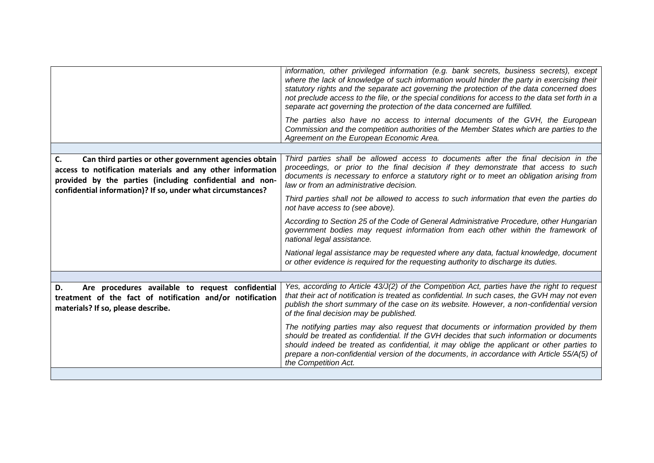|                                                                                                                                                                                                                                                      | information, other privileged information (e.g. bank secrets, business secrets), except<br>where the lack of knowledge of such information would hinder the party in exercising their<br>statutory rights and the separate act governing the protection of the data concerned does<br>not preclude access to the file, or the special conditions for access to the data set forth in a<br>separate act governing the protection of the data concerned are fulfilled.<br>The parties also have no access to internal documents of the GVH, the European<br>Commission and the competition authorities of the Member States which are parties to the<br>Agreement on the European Economic Area. |
|------------------------------------------------------------------------------------------------------------------------------------------------------------------------------------------------------------------------------------------------------|------------------------------------------------------------------------------------------------------------------------------------------------------------------------------------------------------------------------------------------------------------------------------------------------------------------------------------------------------------------------------------------------------------------------------------------------------------------------------------------------------------------------------------------------------------------------------------------------------------------------------------------------------------------------------------------------|
|                                                                                                                                                                                                                                                      | Third parties shall be allowed access to documents after the final decision in the                                                                                                                                                                                                                                                                                                                                                                                                                                                                                                                                                                                                             |
| Can third parties or other government agencies obtain<br>C.<br>access to notification materials and any other information<br>provided by the parties (including confidential and non-<br>confidential information)? If so, under what circumstances? | proceedings, or prior to the final decision if they demonstrate that access to such<br>documents is necessary to enforce a statutory right or to meet an obligation arising from<br>law or from an administrative decision.                                                                                                                                                                                                                                                                                                                                                                                                                                                                    |
|                                                                                                                                                                                                                                                      | Third parties shall not be allowed to access to such information that even the parties do<br>not have access to (see above).                                                                                                                                                                                                                                                                                                                                                                                                                                                                                                                                                                   |
|                                                                                                                                                                                                                                                      | According to Section 25 of the Code of General Administrative Procedure, other Hungarian<br>government bodies may request information from each other within the framework of<br>national legal assistance.                                                                                                                                                                                                                                                                                                                                                                                                                                                                                    |
|                                                                                                                                                                                                                                                      | National legal assistance may be requested where any data, factual knowledge, document<br>or other evidence is required for the requesting authority to discharge its duties.                                                                                                                                                                                                                                                                                                                                                                                                                                                                                                                  |
|                                                                                                                                                                                                                                                      |                                                                                                                                                                                                                                                                                                                                                                                                                                                                                                                                                                                                                                                                                                |
| Are procedures available to request confidential<br>D.<br>treatment of the fact of notification and/or notification<br>materials? If so, please describe.                                                                                            | Yes, according to Article 43/J(2) of the Competition Act, parties have the right to request<br>that their act of notification is treated as confidential. In such cases, the GVH may not even<br>publish the short summary of the case on its website. However, a non-confidential version<br>of the final decision may be published.                                                                                                                                                                                                                                                                                                                                                          |
|                                                                                                                                                                                                                                                      | The notifying parties may also request that documents or information provided by them<br>should be treated as confidential. If the GVH decides that such information or documents<br>should indeed be treated as confidential, it may oblige the applicant or other parties to<br>prepare a non-confidential version of the documents, in accordance with Article 55/A(5) of<br>the Competition Act.                                                                                                                                                                                                                                                                                           |
|                                                                                                                                                                                                                                                      |                                                                                                                                                                                                                                                                                                                                                                                                                                                                                                                                                                                                                                                                                                |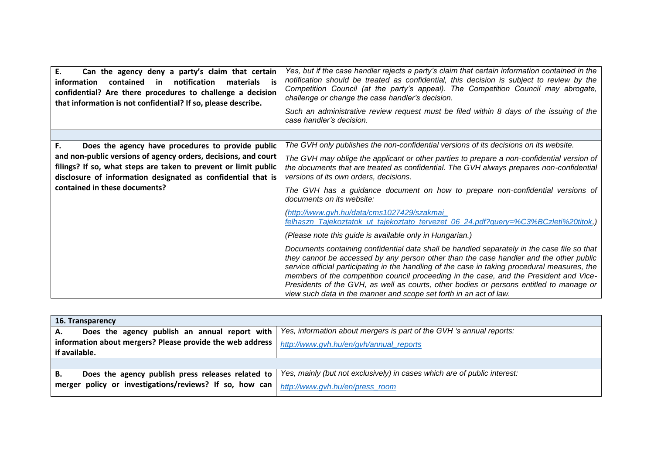| E.<br>Can the agency deny a party's claim that certain<br>notification<br>information<br>contained in<br>materials is<br>confidential? Are there procedures to challenge a decision<br>that information is not confidential? If so, please describe. | Yes, but if the case handler rejects a party's claim that certain information contained in the<br>notification should be treated as confidential, this decision is subject to review by the<br>Competition Council (at the party's appeal). The Competition Council may abrogate,<br>challenge or change the case handler's decision.<br>Such an administrative review request must be filed within 8 days of the issuing of the<br>case handler's decision.                                                                                      |
|------------------------------------------------------------------------------------------------------------------------------------------------------------------------------------------------------------------------------------------------------|---------------------------------------------------------------------------------------------------------------------------------------------------------------------------------------------------------------------------------------------------------------------------------------------------------------------------------------------------------------------------------------------------------------------------------------------------------------------------------------------------------------------------------------------------|
|                                                                                                                                                                                                                                                      |                                                                                                                                                                                                                                                                                                                                                                                                                                                                                                                                                   |
| Does the agency have procedures to provide public<br>F.                                                                                                                                                                                              | The GVH only publishes the non-confidential versions of its decisions on its website.                                                                                                                                                                                                                                                                                                                                                                                                                                                             |
| and non-public versions of agency orders, decisions, and court<br>filings? If so, what steps are taken to prevent or limit public<br>disclosure of information designated as confidential that is                                                    | The GVH may oblige the applicant or other parties to prepare a non-confidential version of<br>the documents that are treated as confidential. The GVH always prepares non-confidential<br>versions of its own orders, decisions.                                                                                                                                                                                                                                                                                                                  |
| contained in these documents?                                                                                                                                                                                                                        | The GVH has a guidance document on how to prepare non-confidential versions of<br>documents on its website:                                                                                                                                                                                                                                                                                                                                                                                                                                       |
|                                                                                                                                                                                                                                                      | (http://www.gvh.hu/data/cms1027429/szakmai<br>felhaszn_Tajekoztatok_ut_tajekoztato_tervezet_06_24.pdf?query=%C3%BCzleti%20titok,)                                                                                                                                                                                                                                                                                                                                                                                                                 |
|                                                                                                                                                                                                                                                      | (Please note this guide is available only in Hungarian.)                                                                                                                                                                                                                                                                                                                                                                                                                                                                                          |
|                                                                                                                                                                                                                                                      | Documents containing confidential data shall be handled separately in the case file so that<br>they cannot be accessed by any person other than the case handler and the other public<br>service official participating in the handling of the case in taking procedural measures, the<br>members of the competition council proceeding in the case, and the President and Vice-<br>Presidents of the GVH, as well as courts, other bodies or persons entitled to manage or<br>view such data in the manner and scope set forth in an act of law. |

| 16. Transparency                                          |                                                                          |
|-----------------------------------------------------------|--------------------------------------------------------------------------|
| Does the agency publish an annual report with<br>А.       | Yes, information about mergers is part of the GVH 's annual reports:     |
| information about mergers? Please provide the web address | http://www.gvh.hu/en/gvh/annual_reports                                  |
| if available.                                             |                                                                          |
|                                                           |                                                                          |
| Does the agency publish press releases related to<br>В.   | Yes, mainly (but not exclusively) in cases which are of public interest: |
| merger policy or investigations/reviews? If so, how can   | http://www.gvh.hu/en/press_room                                          |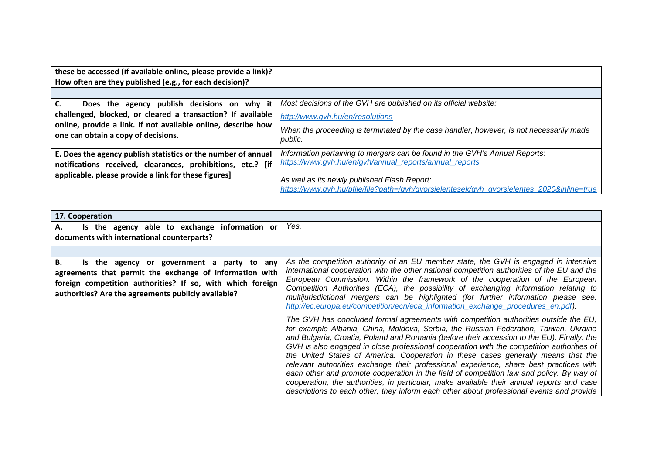| these be accessed (if available online, please provide a link)?                                      |                                                                                                                                            |
|------------------------------------------------------------------------------------------------------|--------------------------------------------------------------------------------------------------------------------------------------------|
| How often are they published (e.g., for each decision)?                                              |                                                                                                                                            |
|                                                                                                      |                                                                                                                                            |
| Does the agency publish decisions on why it                                                          | Most decisions of the GVH are published on its official website:                                                                           |
| challenged, blocked, or cleared a transaction? If available                                          | http://www.gvh.hu/en/resolutions                                                                                                           |
| online, provide a link. If not available online, describe how<br>one can obtain a copy of decisions. | When the proceeding is terminated by the case handler, however, is not necessarily made<br>public.                                         |
| E. Does the agency publish statistics or the number of annual                                        | Information pertaining to mergers can be found in the GVH's Annual Reports:                                                                |
| notifications received, clearances, prohibitions, etc.? [if                                          | https://www.gvh.hu/en/gvh/annual_reports/annual_reports                                                                                    |
| applicable, please provide a link for these figures]                                                 | As well as its newly published Flash Report:<br>https://www.qvh.hu/pfile/file?path=/qvh/qyorsjelentesek/qvh_qyorsjelentes_2020&inline=true |

| 17. Cooperation                                                                                                                                                                                                                  |                                                                                                                                                                                                                                                                                                                                                                                                                                                                                                                                                                                                                                                                                                                                                                                                                                             |
|----------------------------------------------------------------------------------------------------------------------------------------------------------------------------------------------------------------------------------|---------------------------------------------------------------------------------------------------------------------------------------------------------------------------------------------------------------------------------------------------------------------------------------------------------------------------------------------------------------------------------------------------------------------------------------------------------------------------------------------------------------------------------------------------------------------------------------------------------------------------------------------------------------------------------------------------------------------------------------------------------------------------------------------------------------------------------------------|
| Is the agency able to exchange information or<br>А.                                                                                                                                                                              | Yes.                                                                                                                                                                                                                                                                                                                                                                                                                                                                                                                                                                                                                                                                                                                                                                                                                                        |
| documents with international counterparts?                                                                                                                                                                                       |                                                                                                                                                                                                                                                                                                                                                                                                                                                                                                                                                                                                                                                                                                                                                                                                                                             |
|                                                                                                                                                                                                                                  |                                                                                                                                                                                                                                                                                                                                                                                                                                                                                                                                                                                                                                                                                                                                                                                                                                             |
| В.<br>Is the agency or government a party to any<br>agreements that permit the exchange of information with<br>foreign competition authorities? If so, with which foreign<br>authorities? Are the agreements publicly available? | As the competition authority of an EU member state, the GVH is engaged in intensive<br>international cooperation with the other national competition authorities of the EU and the<br>European Commission. Within the framework of the cooperation of the European<br>Competition Authorities (ECA), the possibility of exchanging information relating to<br>multijurisdictional mergers can be highlighted (for further information please see:<br>http://ec.europa.eu/competition/ecn/eca_information_exchange_procedures_en.pdf).                                                                                                                                                                                                                                                                                                       |
|                                                                                                                                                                                                                                  | The GVH has concluded formal agreements with competition authorities outside the EU,<br>for example Albania, China, Moldova, Serbia, the Russian Federation, Taiwan, Ukraine<br>and Bulgaria, Croatia, Poland and Romania (before their accession to the EU). Finally, the<br>GVH is also engaged in close professional cooperation with the competition authorities of<br>the United States of America. Cooperation in these cases generally means that the<br>relevant authorities exchange their professional experience, share best practices with<br>each other and promote cooperation in the field of competition law and policy. By way of<br>cooperation, the authorities, in particular, make available their annual reports and case<br>descriptions to each other, they inform each other about professional events and provide |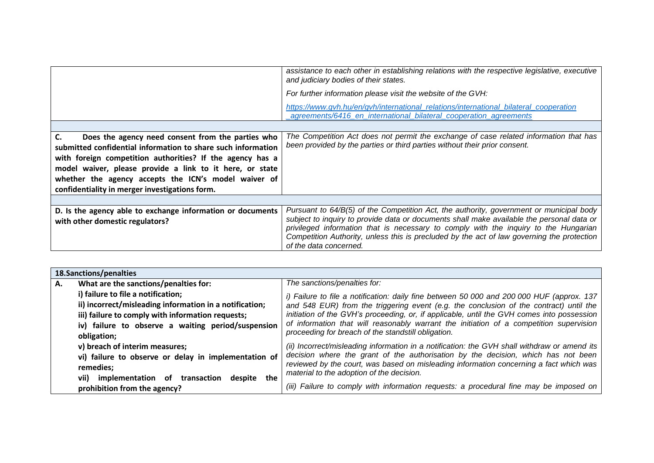|                                                                                                                                                                                                                                                              | assistance to each other in establishing relations with the respective legislative, executive<br>and judiciary bodies of their states.                                                                                                                                                                                                                                                               |
|--------------------------------------------------------------------------------------------------------------------------------------------------------------------------------------------------------------------------------------------------------------|------------------------------------------------------------------------------------------------------------------------------------------------------------------------------------------------------------------------------------------------------------------------------------------------------------------------------------------------------------------------------------------------------|
|                                                                                                                                                                                                                                                              | For further information please visit the website of the GVH:                                                                                                                                                                                                                                                                                                                                         |
|                                                                                                                                                                                                                                                              | https://www.gvh.hu/en/gvh/international_relations/international_bilateral_cooperation<br>agreements/6416_en_international_bilateral_cooperation_agreements                                                                                                                                                                                                                                           |
|                                                                                                                                                                                                                                                              |                                                                                                                                                                                                                                                                                                                                                                                                      |
| $\mathsf{C}$ .<br>Does the agency need consent from the parties who<br>submitted confidential information to share such information<br>with foreign competition authorities? If the agency has a<br>model waiver, please provide a link to it here, or state | The Competition Act does not permit the exchange of case related information that has<br>been provided by the parties or third parties without their prior consent.                                                                                                                                                                                                                                  |
| whether the agency accepts the ICN's model waiver of<br>confidentiality in merger investigations form.                                                                                                                                                       |                                                                                                                                                                                                                                                                                                                                                                                                      |
|                                                                                                                                                                                                                                                              |                                                                                                                                                                                                                                                                                                                                                                                                      |
| D. Is the agency able to exchange information or documents<br>with other domestic regulators?                                                                                                                                                                | Pursuant to 64/B(5) of the Competition Act, the authority, government or municipal body<br>subject to inquiry to provide data or documents shall make available the personal data or<br>privileged information that is necessary to comply with the inquiry to the Hungarian<br>Competition Authority, unless this is precluded by the act of law governing the protection<br>of the data concerned. |

|    | 18.Sanctions/penalties                                  |                                                                                                                                     |  |
|----|---------------------------------------------------------|-------------------------------------------------------------------------------------------------------------------------------------|--|
| А. | What are the sanctions/penalties for:                   | The sanctions/penalties for:                                                                                                        |  |
|    | i) failure to file a notification;                      | i) Failure to file a notification: daily fine between 50 000 and 200 000 HUF (approx. 137                                           |  |
|    | ii) incorrect/misleading information in a notification; | and 548 EUR) from the triggering event (e.g. the conclusion of the contract) until the                                              |  |
|    | iii) failure to comply with information requests;       | initiation of the GVH's proceeding, or, if applicable, until the GVH comes into possession                                          |  |
|    | iv) failure to observe a waiting period/suspension      | of information that will reasonably warrant the initiation of a competition supervision                                             |  |
|    | obligation;                                             | proceeding for breach of the standstill obligation.                                                                                 |  |
|    | v) breach of interim measures;                          | (ii) Incorrect/misleading information in a notification: the GVH shall withdraw or amend its                                        |  |
|    | vi) failure to observe or delay in implementation of    | decision where the grant of the authorisation by the decision, which has not been                                                   |  |
|    | remedies:                                               | reviewed by the court, was based on misleading information concerning a fact which was<br>material to the adoption of the decision. |  |
|    | despite the<br>implementation of<br>transaction<br>vii) |                                                                                                                                     |  |
|    | prohibition from the agency?                            | (iii) Failure to comply with information requests: a procedural fine may be imposed on                                              |  |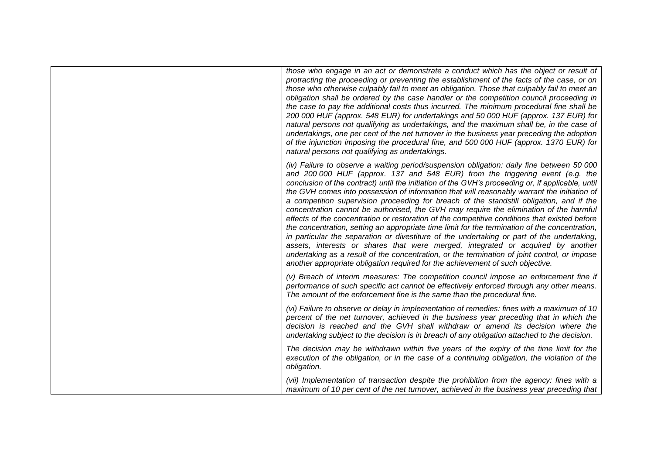| those who engage in an act or demonstrate a conduct which has the object or result of<br>protracting the proceeding or preventing the establishment of the facts of the case, or on<br>those who otherwise culpably fail to meet an obligation. Those that culpably fail to meet an<br>obligation shall be ordered by the case handler or the competition council proceeding in<br>the case to pay the additional costs thus incurred. The minimum procedural fine shall be<br>200 000 HUF (approx. 548 EUR) for undertakings and 50 000 HUF (approx. 137 EUR) for<br>natural persons not qualifying as undertakings, and the maximum shall be, in the case of<br>undertakings, one per cent of the net turnover in the business year preceding the adoption<br>of the injunction imposing the procedural fine, and 500 000 HUF (approx. 1370 EUR) for<br>natural persons not qualifying as undertakings.                                                                                                                                                                                                                                  |
|--------------------------------------------------------------------------------------------------------------------------------------------------------------------------------------------------------------------------------------------------------------------------------------------------------------------------------------------------------------------------------------------------------------------------------------------------------------------------------------------------------------------------------------------------------------------------------------------------------------------------------------------------------------------------------------------------------------------------------------------------------------------------------------------------------------------------------------------------------------------------------------------------------------------------------------------------------------------------------------------------------------------------------------------------------------------------------------------------------------------------------------------|
| (iv) Failure to observe a waiting period/suspension obligation: daily fine between 50 000<br>and 200 000 HUF (approx. 137 and 548 EUR) from the triggering event (e.g. the<br>conclusion of the contract) until the initiation of the GVH's proceeding or, if applicable, until<br>the GVH comes into possession of information that will reasonably warrant the initiation of<br>a competition supervision proceeding for breach of the standstill obligation, and if the<br>concentration cannot be authorised, the GVH may require the elimination of the harmful<br>effects of the concentration or restoration of the competitive conditions that existed before<br>the concentration, setting an appropriate time limit for the termination of the concentration,<br>in particular the separation or divestiture of the undertaking or part of the undertaking,<br>assets, interests or shares that were merged, integrated or acquired by another<br>undertaking as a result of the concentration, or the termination of joint control, or impose<br>another appropriate obligation required for the achievement of such objective. |
| (v) Breach of interim measures: The competition council impose an enforcement fine if<br>performance of such specific act cannot be effectively enforced through any other means.<br>The amount of the enforcement fine is the same than the procedural fine.                                                                                                                                                                                                                                                                                                                                                                                                                                                                                                                                                                                                                                                                                                                                                                                                                                                                              |
| (vi) Failure to observe or delay in implementation of remedies: fines with a maximum of 10<br>percent of the net turnover, achieved in the business year preceding that in which the<br>decision is reached and the GVH shall withdraw or amend its decision where the<br>undertaking subject to the decision is in breach of any obligation attached to the decision.                                                                                                                                                                                                                                                                                                                                                                                                                                                                                                                                                                                                                                                                                                                                                                     |
| The decision may be withdrawn within five years of the expiry of the time limit for the<br>execution of the obligation, or in the case of a continuing obligation, the violation of the<br>obligation.                                                                                                                                                                                                                                                                                                                                                                                                                                                                                                                                                                                                                                                                                                                                                                                                                                                                                                                                     |
| (vii) Implementation of transaction despite the prohibition from the agency: fines with a<br>maximum of 10 per cent of the net turnover, achieved in the business year preceding that                                                                                                                                                                                                                                                                                                                                                                                                                                                                                                                                                                                                                                                                                                                                                                                                                                                                                                                                                      |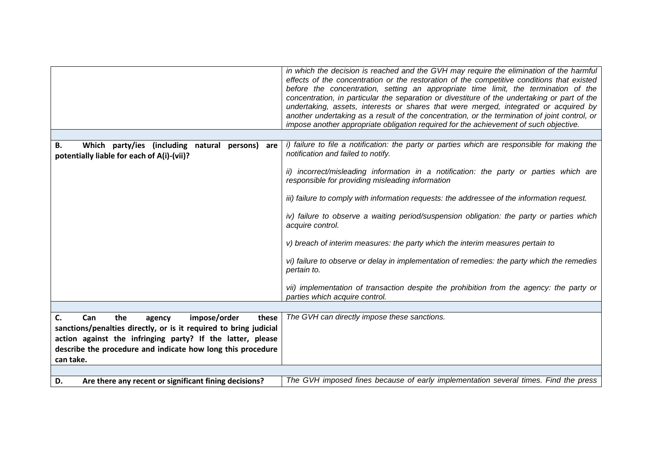|                                                                                                        | in which the decision is reached and the GVH may require the elimination of the harmful<br>effects of the concentration or the restoration of the competitive conditions that existed<br>before the concentration, setting an appropriate time limit, the termination of the<br>concentration, in particular the separation or divestiture of the undertaking or part of the<br>undertaking, assets, interests or shares that were merged, integrated or acquired by<br>another undertaking as a result of the concentration, or the termination of joint control, or<br>impose another appropriate obligation required for the achievement of such objective. |
|--------------------------------------------------------------------------------------------------------|----------------------------------------------------------------------------------------------------------------------------------------------------------------------------------------------------------------------------------------------------------------------------------------------------------------------------------------------------------------------------------------------------------------------------------------------------------------------------------------------------------------------------------------------------------------------------------------------------------------------------------------------------------------|
| Which party/ies (including natural persons)<br>В.<br>are<br>potentially liable for each of A(i)-(vii)? | i) failure to file a notification: the party or parties which are responsible for making the<br>notification and failed to notify.                                                                                                                                                                                                                                                                                                                                                                                                                                                                                                                             |
|                                                                                                        | ii) incorrect/misleading information in a notification: the party or parties which are<br>responsible for providing misleading information                                                                                                                                                                                                                                                                                                                                                                                                                                                                                                                     |
|                                                                                                        | iii) failure to comply with information requests: the addressee of the information request.                                                                                                                                                                                                                                                                                                                                                                                                                                                                                                                                                                    |
|                                                                                                        | iv) failure to observe a waiting period/suspension obligation: the party or parties which<br>acquire control.                                                                                                                                                                                                                                                                                                                                                                                                                                                                                                                                                  |
|                                                                                                        | v) breach of interim measures: the party which the interim measures pertain to                                                                                                                                                                                                                                                                                                                                                                                                                                                                                                                                                                                 |
|                                                                                                        | vi) failure to observe or delay in implementation of remedies: the party which the remedies<br>pertain to.                                                                                                                                                                                                                                                                                                                                                                                                                                                                                                                                                     |
|                                                                                                        | vii) implementation of transaction despite the prohibition from the agency: the party or<br>parties which acquire control.                                                                                                                                                                                                                                                                                                                                                                                                                                                                                                                                     |
| C.<br>Can<br>the<br>these                                                                              | The GVH can directly impose these sanctions.                                                                                                                                                                                                                                                                                                                                                                                                                                                                                                                                                                                                                   |
| impose/order<br>agency<br>sanctions/penalties directly, or is it required to bring judicial            |                                                                                                                                                                                                                                                                                                                                                                                                                                                                                                                                                                                                                                                                |
| action against the infringing party? If the latter, please                                             |                                                                                                                                                                                                                                                                                                                                                                                                                                                                                                                                                                                                                                                                |
| describe the procedure and indicate how long this procedure                                            |                                                                                                                                                                                                                                                                                                                                                                                                                                                                                                                                                                                                                                                                |
| can take.                                                                                              |                                                                                                                                                                                                                                                                                                                                                                                                                                                                                                                                                                                                                                                                |
| Are there any recent or significant fining decisions?<br>D.                                            | The GVH imposed fines because of early implementation several times. Find the press                                                                                                                                                                                                                                                                                                                                                                                                                                                                                                                                                                            |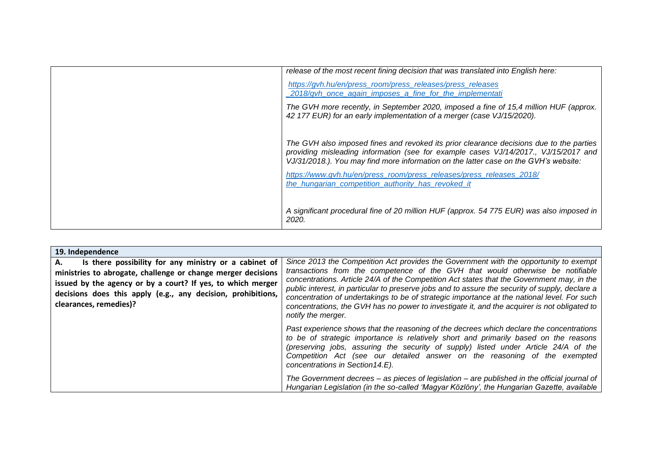| release of the most recent fining decision that was translated into English here:                                                                                                                                                                                      |
|------------------------------------------------------------------------------------------------------------------------------------------------------------------------------------------------------------------------------------------------------------------------|
| https://gvh.hu/en/press_room/press_releases/press_releases<br>2018/gvh_once_again_imposes_a_fine_for_the_implementati                                                                                                                                                  |
| The GVH more recently, in September 2020, imposed a fine of 15,4 million HUF (approx.<br>42 177 EUR) for an early implementation of a merger (case VJ/15/2020).                                                                                                        |
| The GVH also imposed fines and revoked its prior clearance decisions due to the parties<br>providing misleading information (see for example cases VJ/14/2017., VJ/15/2017 and<br>VJ/31/2018.). You may find more information on the latter case on the GVH's website: |
| https://www.qvh.hu/en/press_room/press_releases/press_releases_2018/<br>the_hungarian_competition_authority_has_revoked_it                                                                                                                                             |
| A significant procedural fine of 20 million HUF (approx. 54 775 EUR) was also imposed in<br>2020.                                                                                                                                                                      |

| 19. Independence                                                                                                                                                                                                                                                                     |                                                                                                                                                                                                                                                                                                                                                                                                                                                                                                                                                                                               |
|--------------------------------------------------------------------------------------------------------------------------------------------------------------------------------------------------------------------------------------------------------------------------------------|-----------------------------------------------------------------------------------------------------------------------------------------------------------------------------------------------------------------------------------------------------------------------------------------------------------------------------------------------------------------------------------------------------------------------------------------------------------------------------------------------------------------------------------------------------------------------------------------------|
| Is there possibility for any ministry or a cabinet of<br>А.<br>ministries to abrogate, challenge or change merger decisions<br>issued by the agency or by a court? If yes, to which merger<br>decisions does this apply (e.g., any decision, prohibitions,<br>clearances, remedies)? | Since 2013 the Competition Act provides the Government with the opportunity to exempt<br>transactions from the competence of the GVH that would otherwise be notifiable<br>concentrations. Article 24/A of the Competition Act states that the Government may, in the<br>public interest, in particular to preserve jobs and to assure the security of supply, declare a<br>concentration of undertakings to be of strategic importance at the national level. For such<br>concentrations, the GVH has no power to investigate it, and the acquirer is not obligated to<br>notify the merger. |
|                                                                                                                                                                                                                                                                                      | Past experience shows that the reasoning of the decrees which declare the concentrations<br>to be of strategic importance is relatively short and primarily based on the reasons<br>(preserving jobs, assuring the security of supply) listed under Article 24/A of the<br>Competition Act (see our detailed answer on the reasoning of the exempted<br>concentrations in Section 14.E).                                                                                                                                                                                                      |
|                                                                                                                                                                                                                                                                                      | The Government decrees - as pieces of legislation - are published in the official journal of<br>Hungarian Legislation (in the so-called 'Magyar Közlöny', the Hungarian Gazette, available                                                                                                                                                                                                                                                                                                                                                                                                    |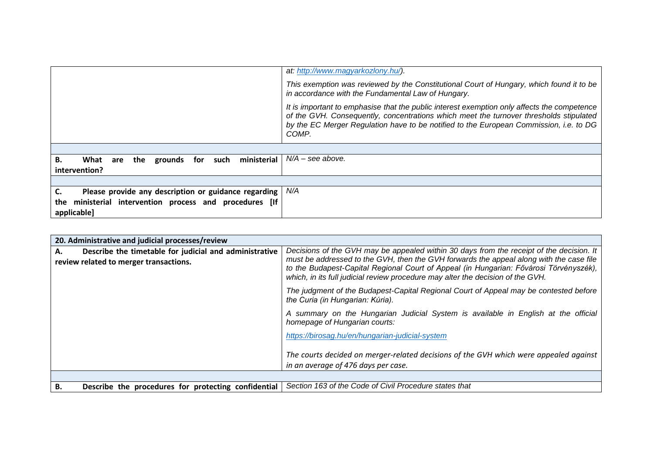|                                                                   | at: http://www.magyarkozlony.hu/).                                                                                                                                                                                                                                                       |
|-------------------------------------------------------------------|------------------------------------------------------------------------------------------------------------------------------------------------------------------------------------------------------------------------------------------------------------------------------------------|
|                                                                   | This exemption was reviewed by the Constitutional Court of Hungary, which found it to be<br>in accordance with the Fundamental Law of Hungary.                                                                                                                                           |
|                                                                   | It is important to emphasise that the public interest exemption only affects the competence<br>of the GVH. Consequently, concentrations which meet the turnover thresholds stipulated<br>by the EC Merger Regulation have to be notified to the European Commission, i.e. to DG<br>COMP. |
|                                                                   |                                                                                                                                                                                                                                                                                          |
| В.<br>ministerial<br>What<br>the<br>grounds<br>for<br>such<br>are | $N/A$ – see above.                                                                                                                                                                                                                                                                       |
| intervention?                                                     |                                                                                                                                                                                                                                                                                          |
|                                                                   |                                                                                                                                                                                                                                                                                          |
| Please provide any description or guidance regarding              | N/A                                                                                                                                                                                                                                                                                      |
| ministerial intervention process and procedures [If<br>the        |                                                                                                                                                                                                                                                                                          |
| applicable]                                                       |                                                                                                                                                                                                                                                                                          |

| 20. Administrative and judicial processes/review                                                       |                                                                                                                                                                                                                                                                                                                                                                  |
|--------------------------------------------------------------------------------------------------------|------------------------------------------------------------------------------------------------------------------------------------------------------------------------------------------------------------------------------------------------------------------------------------------------------------------------------------------------------------------|
| Describe the timetable for judicial and administrative<br>А.<br>review related to merger transactions. | Decisions of the GVH may be appealed within 30 days from the receipt of the decision. It<br>must be addressed to the GVH, then the GVH forwards the appeal along with the case file<br>to the Budapest-Capital Regional Court of Appeal (in Hungarian: Fővárosi Törvényszék),<br>which, in its full judicial review procedure may alter the decision of the GVH. |
|                                                                                                        | The judgment of the Budapest-Capital Regional Court of Appeal may be contested before<br>the Curia (in Hungarian: Kúria).                                                                                                                                                                                                                                        |
|                                                                                                        | A summary on the Hungarian Judicial System is available in English at the official<br>homepage of Hungarian courts:                                                                                                                                                                                                                                              |
|                                                                                                        | https://birosag.hu/en/hungarian-judicial-system                                                                                                                                                                                                                                                                                                                  |
|                                                                                                        | The courts decided on merger-related decisions of the GVH which were appealed against<br>in an average of 476 days per case.                                                                                                                                                                                                                                     |
|                                                                                                        |                                                                                                                                                                                                                                                                                                                                                                  |
| Describe the procedures for protecting confidential<br>В.                                              | Section 163 of the Code of Civil Procedure states that                                                                                                                                                                                                                                                                                                           |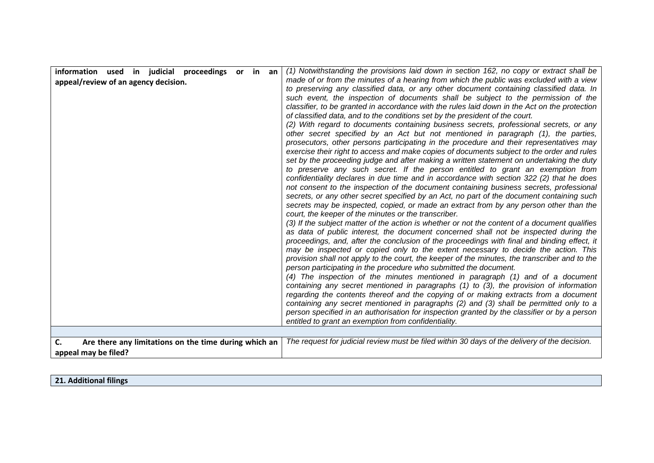| C.<br>Are there any limitations on the time during which an<br>appeal may be filed?       | entitled to grant an exemption from confidentiality.<br>The request for judicial review must be filed within 30 days of the delivery of the decision.                                                                                                                                                                                                                                                                                                                                                                                                                                                                                                                                                                                                                                                                                                                                                                                                                                                                                                                                                                                                                                                                                                                                                                                                                                                                                                                                                                                                                                                                                                                                                                                                                                                                                                                                                                                                                                                                                                                                                                                                                                                                                                                                                                                                                                                                                                                                                                                                              |
|-------------------------------------------------------------------------------------------|--------------------------------------------------------------------------------------------------------------------------------------------------------------------------------------------------------------------------------------------------------------------------------------------------------------------------------------------------------------------------------------------------------------------------------------------------------------------------------------------------------------------------------------------------------------------------------------------------------------------------------------------------------------------------------------------------------------------------------------------------------------------------------------------------------------------------------------------------------------------------------------------------------------------------------------------------------------------------------------------------------------------------------------------------------------------------------------------------------------------------------------------------------------------------------------------------------------------------------------------------------------------------------------------------------------------------------------------------------------------------------------------------------------------------------------------------------------------------------------------------------------------------------------------------------------------------------------------------------------------------------------------------------------------------------------------------------------------------------------------------------------------------------------------------------------------------------------------------------------------------------------------------------------------------------------------------------------------------------------------------------------------------------------------------------------------------------------------------------------------------------------------------------------------------------------------------------------------------------------------------------------------------------------------------------------------------------------------------------------------------------------------------------------------------------------------------------------------------------------------------------------------------------------------------------------------|
| information used in judicial proceedings or in an<br>appeal/review of an agency decision. | (1) Notwithstanding the provisions laid down in section 162, no copy or extract shall be<br>made of or from the minutes of a hearing from which the public was excluded with a view<br>to preserving any classified data, or any other document containing classified data. In<br>such event, the inspection of documents shall be subject to the permission of the<br>classifier, to be granted in accordance with the rules laid down in the Act on the protection<br>of classified data, and to the conditions set by the president of the court.<br>(2) With regard to documents containing business secrets, professional secrets, or any<br>other secret specified by an Act but not mentioned in paragraph (1), the parties,<br>prosecutors, other persons participating in the procedure and their representatives may<br>exercise their right to access and make copies of documents subject to the order and rules<br>set by the proceeding judge and after making a written statement on undertaking the duty<br>to preserve any such secret. If the person entitled to grant an exemption from<br>confidentiality declares in due time and in accordance with section 322 (2) that he does<br>not consent to the inspection of the document containing business secrets, professional<br>secrets, or any other secret specified by an Act, no part of the document containing such<br>secrets may be inspected, copied, or made an extract from by any person other than the<br>court, the keeper of the minutes or the transcriber.<br>(3) If the subject matter of the action is whether or not the content of a document qualifies<br>as data of public interest, the document concerned shall not be inspected during the<br>proceedings, and, after the conclusion of the proceedings with final and binding effect, it<br>may be inspected or copied only to the extent necessary to decide the action. This<br>provision shall not apply to the court, the keeper of the minutes, the transcriber and to the<br>person participating in the procedure who submitted the document.<br>(4) The inspection of the minutes mentioned in paragraph (1) and of a document<br>containing any secret mentioned in paragraphs (1) to (3), the provision of information<br>regarding the contents thereof and the copying of or making extracts from a document<br>containing any secret mentioned in paragraphs (2) and (3) shall be permitted only to a<br>person specified in an authorisation for inspection granted by the classifier or by a person |

**21. Additional filings**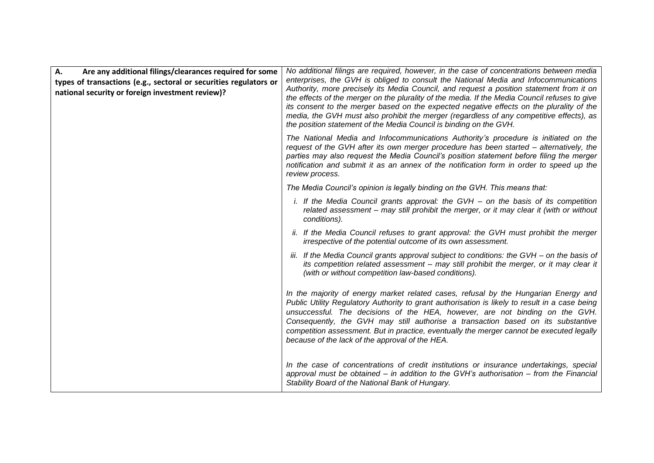| A.<br>Are any additional filings/clearances required for some<br>types of transactions (e.g., sectoral or securities regulators or<br>national security or foreign investment review)? | No additional filings are required, however, in the case of concentrations between media<br>enterprises, the GVH is obliged to consult the National Media and Infocommunications<br>Authority, more precisely its Media Council, and request a position statement from it on<br>the effects of the merger on the plurality of the media. If the Media Council refuses to give<br>its consent to the merger based on the expected negative effects on the plurality of the<br>media, the GVH must also prohibit the merger (regardless of any competitive effects), as<br>the position statement of the Media Council is binding on the GVH. |
|----------------------------------------------------------------------------------------------------------------------------------------------------------------------------------------|---------------------------------------------------------------------------------------------------------------------------------------------------------------------------------------------------------------------------------------------------------------------------------------------------------------------------------------------------------------------------------------------------------------------------------------------------------------------------------------------------------------------------------------------------------------------------------------------------------------------------------------------|
|                                                                                                                                                                                        | The National Media and Infocommunications Authority's procedure is initiated on the<br>request of the GVH after its own merger procedure has been started - alternatively, the<br>parties may also request the Media Council's position statement before filing the merger<br>notification and submit it as an annex of the notification form in order to speed up the<br>review process.                                                                                                                                                                                                                                                   |
|                                                                                                                                                                                        | The Media Council's opinion is legally binding on the GVH. This means that:                                                                                                                                                                                                                                                                                                                                                                                                                                                                                                                                                                 |
|                                                                                                                                                                                        | i. If the Media Council grants approval: the GVH - on the basis of its competition<br>related assessment - may still prohibit the merger, or it may clear it (with or without<br>conditions).                                                                                                                                                                                                                                                                                                                                                                                                                                               |
|                                                                                                                                                                                        | ii. If the Media Council refuses to grant approval: the GVH must prohibit the merger<br>irrespective of the potential outcome of its own assessment.                                                                                                                                                                                                                                                                                                                                                                                                                                                                                        |
|                                                                                                                                                                                        | iii. If the Media Council grants approval subject to conditions: the $GVH - on$ the basis of<br>its competition related assessment - may still prohibit the merger, or it may clear it<br>(with or without competition law-based conditions).                                                                                                                                                                                                                                                                                                                                                                                               |
|                                                                                                                                                                                        | In the majority of energy market related cases, refusal by the Hungarian Energy and<br>Public Utility Regulatory Authority to grant authorisation is likely to result in a case being<br>unsuccessful. The decisions of the HEA, however, are not binding on the GVH.<br>Consequently, the GVH may still authorise a transaction based on its substantive<br>competition assessment. But in practice, eventually the merger cannot be executed legally<br>because of the lack of the approval of the HEA.                                                                                                                                   |
|                                                                                                                                                                                        | In the case of concentrations of credit institutions or insurance undertakings, special<br>approval must be obtained $-$ in addition to the GVH's authorisation $-$ from the Financial<br>Stability Board of the National Bank of Hungary.                                                                                                                                                                                                                                                                                                                                                                                                  |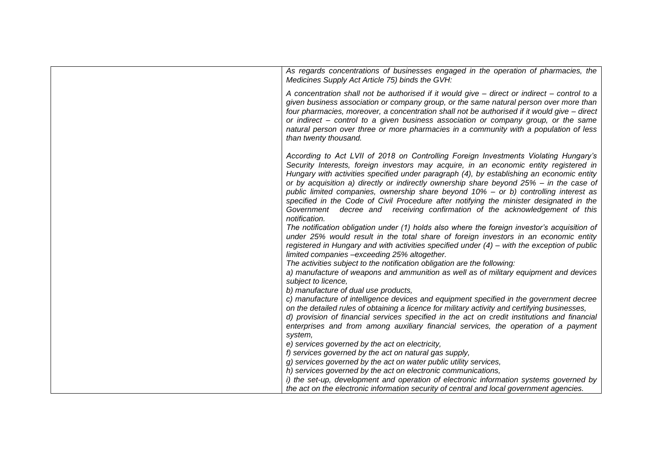| As regards concentrations of businesses engaged in the operation of pharmacies, the<br>Medicines Supply Act Article 75) binds the GVH:                                                                                                                                                                                                                                                                                                                                                                                                                                                                                                                      |
|-------------------------------------------------------------------------------------------------------------------------------------------------------------------------------------------------------------------------------------------------------------------------------------------------------------------------------------------------------------------------------------------------------------------------------------------------------------------------------------------------------------------------------------------------------------------------------------------------------------------------------------------------------------|
| A concentration shall not be authorised if it would give $-$ direct or indirect $-$ control to a<br>given business association or company group, or the same natural person over more than<br>four pharmacies, moreover, a concentration shall not be authorised if it would give - direct<br>or indirect – control to a given business association or company group, or the same<br>natural person over three or more pharmacies in a community with a population of less<br>than twenty thousand.                                                                                                                                                         |
| According to Act LVII of 2018 on Controlling Foreign Investments Violating Hungary's<br>Security Interests, foreign investors may acquire, in an economic entity registered in<br>Hungary with activities specified under paragraph (4), by establishing an economic entity<br>or by acquisition a) directly or indirectly ownership share beyond $25% - in$ the case of<br>public limited companies, ownership share beyond 10% - or b) controlling interest as<br>specified in the Code of Civil Procedure after notifying the minister designated in the<br>Government decree and receiving confirmation of the acknowledgement of this<br>notification. |
| The notification obligation under (1) holds also where the foreign investor's acquisition of<br>under 25% would result in the total share of foreign investors in an economic entity<br>registered in Hungary and with activities specified under $(4)$ – with the exception of public<br>limited companies -exceeding 25% altogether.                                                                                                                                                                                                                                                                                                                      |
| The activities subject to the notification obligation are the following:<br>a) manufacture of weapons and ammunition as well as of military equipment and devices<br>subject to licence,                                                                                                                                                                                                                                                                                                                                                                                                                                                                    |
| b) manufacture of dual use products,<br>c) manufacture of intelligence devices and equipment specified in the government decree<br>on the detailed rules of obtaining a licence for military activity and certifying businesses,<br>d) provision of financial services specified in the act on credit institutions and financial<br>enterprises and from among auxiliary financial services, the operation of a payment                                                                                                                                                                                                                                     |
| system,<br>e) services governed by the act on electricity,<br>f) services governed by the act on natural gas supply,                                                                                                                                                                                                                                                                                                                                                                                                                                                                                                                                        |
| g) services governed by the act on water public utility services,<br>h) services governed by the act on electronic communications,                                                                                                                                                                                                                                                                                                                                                                                                                                                                                                                          |
| i) the set-up, development and operation of electronic information systems governed by<br>the act on the electronic information security of central and local government agencies.                                                                                                                                                                                                                                                                                                                                                                                                                                                                          |